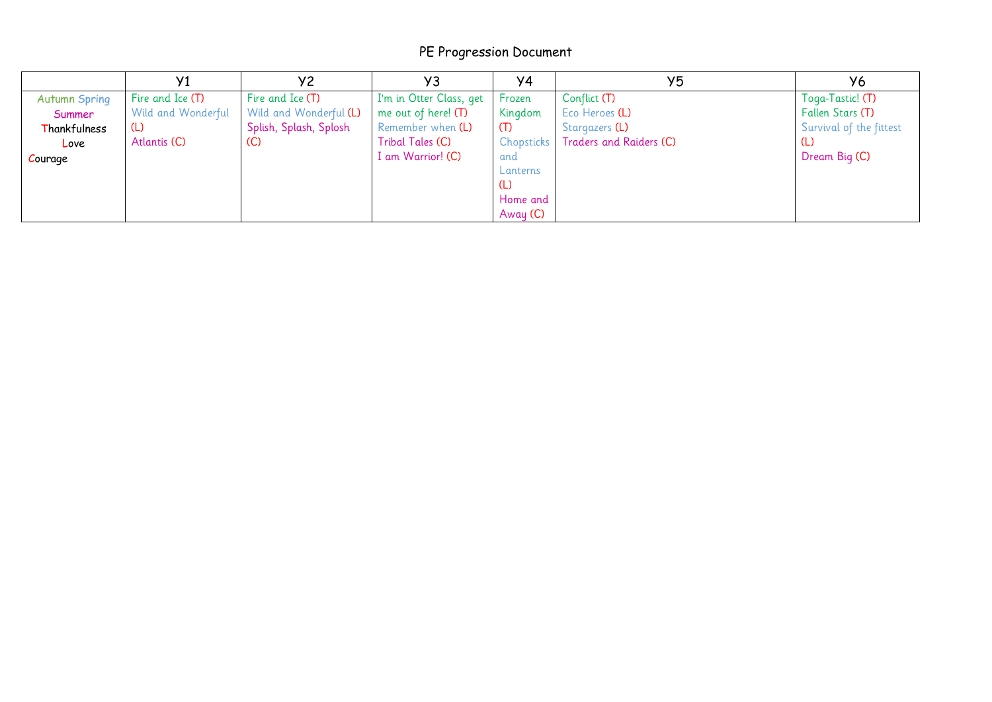## PE Progression Document

|                      |                    | У2                     | Y3                      | Y4                | Y5                      | У6                      |
|----------------------|--------------------|------------------------|-------------------------|-------------------|-------------------------|-------------------------|
| <b>Autumn Spring</b> | Fire and Ice (T)   | Fire and Ice (T)       | I'm in Otter Class, get | Frozen            | Conflict (T)            | Toga-Tastic! (T)        |
| Summer               | Wild and Wonderful | Wild and Wonderful (L) | me out of here! $(T)$   | Kingdom           | Eco Heroes (L)          | Fallen Stars (T)        |
| Thankfulness         | (L)                | Splish, Splash, Splosh | Remember when (L)       | (T)               | Stargazers (L)          | Survival of the fittest |
| Love                 | Atlantis (C)       | (C)                    | Tribal Tales (C)        | <b>Chopsticks</b> | Traders and Raiders (C) | (L)                     |
| Courage              |                    |                        | I am Warrior! (C)       | and               |                         | Dream Big (C)           |
|                      |                    |                        |                         | Lanterns          |                         |                         |
|                      |                    |                        |                         | (L)               |                         |                         |
|                      |                    |                        |                         | Home and          |                         |                         |
|                      |                    |                        |                         | Away (C)          |                         |                         |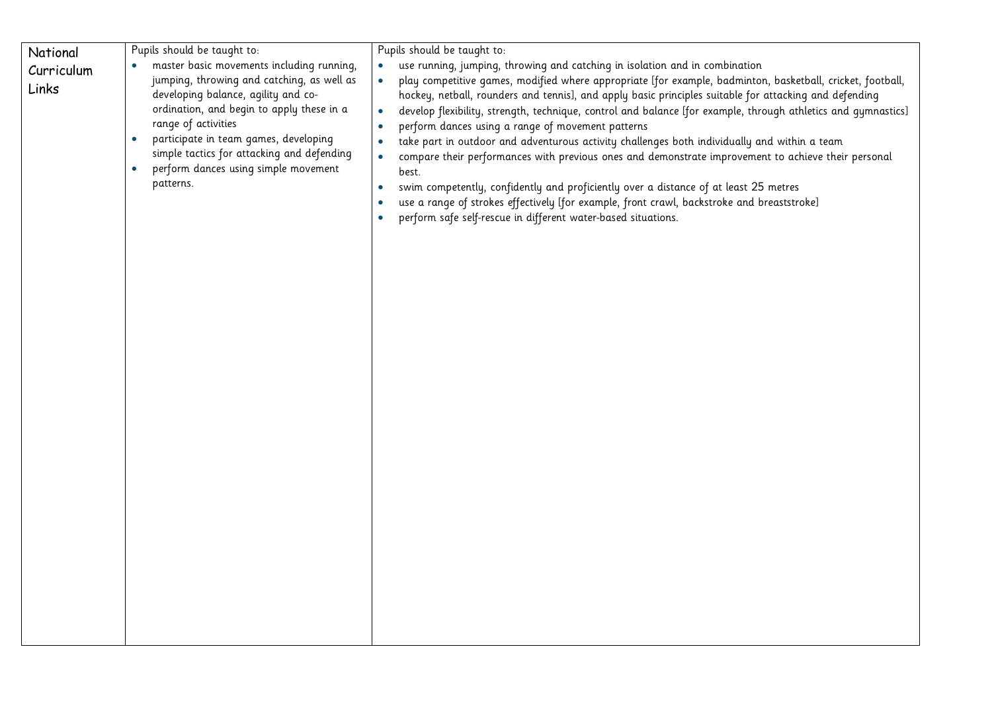| National<br>Curriculum<br>Links | Pupils should be taught to:<br>master basic movements including running,<br>jumping, throwing and catching, as well as<br>developing balance, agility and co-<br>ordination, and begin to apply these in a<br>range of activities<br>participate in team games, developing<br>simple tactics for attacking and defending<br>perform dances using simple movement<br>patterns. | Pupils should be taught to:<br>use running, jumping, throwing and catching in isolation and in combination<br>play competitive games, modified where appropriate [for example, badminton, basketball, cricket, football,<br>$\bullet$<br>hockey, netball, rounders and tennis], and apply basic principles suitable for attacking and defending<br>develop flexibility, strength, technique, control and balance [for example, through athletics and gymnastics]<br>$\bullet$<br>perform dances using a range of movement patterns<br>take part in outdoor and adventurous activity challenges both individually and within a team<br>$\bullet$<br>compare their performances with previous ones and demonstrate improvement to achieve their personal<br>best.<br>swim competently, confidently and proficiently over a distance of at least 25 metres<br>$\bullet$<br>use a range of strokes effectively [for example, front crawl, backstroke and breaststroke]<br>$\bullet$<br>perform safe self-rescue in different water-based situations. |
|---------------------------------|-------------------------------------------------------------------------------------------------------------------------------------------------------------------------------------------------------------------------------------------------------------------------------------------------------------------------------------------------------------------------------|--------------------------------------------------------------------------------------------------------------------------------------------------------------------------------------------------------------------------------------------------------------------------------------------------------------------------------------------------------------------------------------------------------------------------------------------------------------------------------------------------------------------------------------------------------------------------------------------------------------------------------------------------------------------------------------------------------------------------------------------------------------------------------------------------------------------------------------------------------------------------------------------------------------------------------------------------------------------------------------------------------------------------------------------------|
|                                 |                                                                                                                                                                                                                                                                                                                                                                               |                                                                                                                                                                                                                                                                                                                                                                                                                                                                                                                                                                                                                                                                                                                                                                                                                                                                                                                                                                                                                                                  |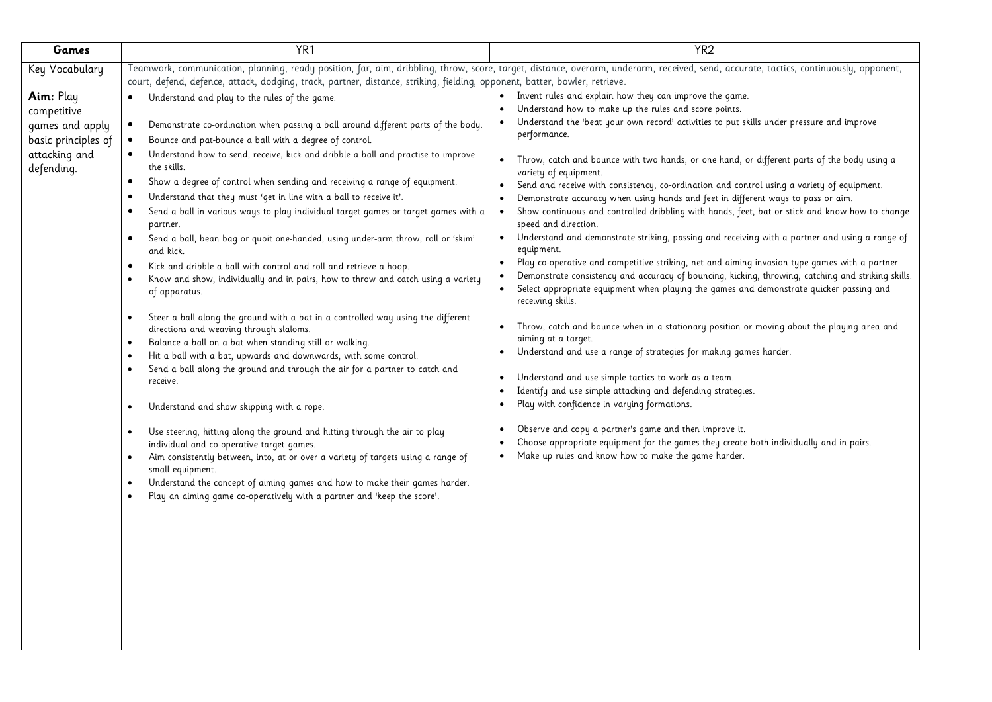| Games                       | YR <sub>1</sub>                                                                                                                          | YR <sub>2</sub>                                                                                                                                                                       |  |  |  |  |
|-----------------------------|------------------------------------------------------------------------------------------------------------------------------------------|---------------------------------------------------------------------------------------------------------------------------------------------------------------------------------------|--|--|--|--|
| Key Vocabulary              |                                                                                                                                          | Teamwork, communication, planning, ready position, far, aim, dribbling, throw, score, target, distance, overarm, underarm, received, send, accurate, tactics, continuously, opponent, |  |  |  |  |
|                             | court, defend, defence, attack, dodging, track, partner, distance, striking, fielding, opponent, batter, bowler, retrieve.               |                                                                                                                                                                                       |  |  |  |  |
| Aim: Play                   | Understand and play to the rules of the game.                                                                                            | Invent rules and explain how they can improve the game.                                                                                                                               |  |  |  |  |
| competitive                 |                                                                                                                                          | Understand how to make up the rules and score points.<br>Understand the 'beat your own record' activities to put skills under pressure and improve                                    |  |  |  |  |
| games and apply             | Demonstrate co-ordination when passing a ball around different parts of the body.                                                        | performance.                                                                                                                                                                          |  |  |  |  |
| basic principles of         | Bounce and pat-bounce a ball with a degree of control.                                                                                   |                                                                                                                                                                                       |  |  |  |  |
| attacking and<br>defending. | Understand how to send, receive, kick and dribble a ball and practise to improve<br>$\bullet$<br>the skills.                             | Throw, catch and bounce with two hands, or one hand, or different parts of the body using a<br>$\bullet$<br>variety of equipment.                                                     |  |  |  |  |
|                             | Show a degree of control when sending and receiving a range of equipment.<br>$\bullet$                                                   | Send and receive with consistency, co-ordination and control using a variety of equipment.                                                                                            |  |  |  |  |
|                             | Understand that they must 'get in line with a ball to receive it'.                                                                       | Demonstrate accuracy when using hands and feet in different ways to pass or aim.                                                                                                      |  |  |  |  |
|                             | Send a ball in various ways to play individual target games or target games with a<br>partner.                                           | Show continuous and controlled dribbling with hands, feet, bat or stick and know how to change<br>speed and direction.                                                                |  |  |  |  |
|                             | Send a ball, bean bag or quoit one-handed, using under-arm throw, roll or 'skim'<br>and kick.                                            | Understand and demonstrate striking, passing and receiving with a partner and using a range of<br>equipment.                                                                          |  |  |  |  |
|                             | Kick and dribble a ball with control and roll and retrieve a hoop.<br>$\bullet$                                                          | Play co-operative and competitive striking, net and aiming invasion type games with a partner.                                                                                        |  |  |  |  |
|                             | Know and show, individually and in pairs, how to throw and catch using a variety                                                         | Demonstrate consistency and accuracy of bouncing, kicking, throwing, catching and striking skills.                                                                                    |  |  |  |  |
|                             | of apparatus.                                                                                                                            | Select appropriate equipment when playing the games and demonstrate quicker passing and<br>$\bullet$<br>receiving skills.                                                             |  |  |  |  |
|                             | Steer a ball along the ground with a bat in a controlled way using the different<br>$\bullet$                                            | Throw, catch and bounce when in a stationary position or moving about the playing area and                                                                                            |  |  |  |  |
|                             | directions and weaving through slaloms.                                                                                                  | $\bullet$<br>aiming at a target.                                                                                                                                                      |  |  |  |  |
|                             | Balance a ball on a bat when standing still or walking.<br>$\bullet$<br>Hit a ball with a bat, upwards and downwards, with some control. | Understand and use a range of strategies for making games harder.                                                                                                                     |  |  |  |  |
|                             | Send a ball along the ground and through the air for a partner to catch and                                                              |                                                                                                                                                                                       |  |  |  |  |
|                             | receive.                                                                                                                                 | Understand and use simple tactics to work as a team.                                                                                                                                  |  |  |  |  |
|                             |                                                                                                                                          | Identify and use simple attacking and defending strategies.                                                                                                                           |  |  |  |  |
|                             | Understand and show skipping with a rope.<br>$\bullet$                                                                                   | Play with confidence in varying formations.<br>$\bullet$                                                                                                                              |  |  |  |  |
|                             | Use steering, hitting along the ground and hitting through the air to play<br>$\bullet$                                                  | Observe and copy a partner's game and then improve it.                                                                                                                                |  |  |  |  |
|                             | individual and co-operative target games.                                                                                                | Choose appropriate equipment for the games they create both individually and in pairs.                                                                                                |  |  |  |  |
|                             | Aim consistently between, into, at or over a variety of targets using a range of<br>$\bullet$<br>small equipment.                        | Make up rules and know how to make the game harder.<br>$\bullet$                                                                                                                      |  |  |  |  |
|                             | Understand the concept of aiming games and how to make their games harder.                                                               |                                                                                                                                                                                       |  |  |  |  |
|                             | Play an aiming game co-operatively with a partner and 'keep the score'.                                                                  |                                                                                                                                                                                       |  |  |  |  |
|                             |                                                                                                                                          |                                                                                                                                                                                       |  |  |  |  |
|                             |                                                                                                                                          |                                                                                                                                                                                       |  |  |  |  |
|                             |                                                                                                                                          |                                                                                                                                                                                       |  |  |  |  |
|                             |                                                                                                                                          |                                                                                                                                                                                       |  |  |  |  |
|                             |                                                                                                                                          |                                                                                                                                                                                       |  |  |  |  |
|                             |                                                                                                                                          |                                                                                                                                                                                       |  |  |  |  |
|                             |                                                                                                                                          |                                                                                                                                                                                       |  |  |  |  |
|                             |                                                                                                                                          |                                                                                                                                                                                       |  |  |  |  |
|                             |                                                                                                                                          |                                                                                                                                                                                       |  |  |  |  |
|                             |                                                                                                                                          |                                                                                                                                                                                       |  |  |  |  |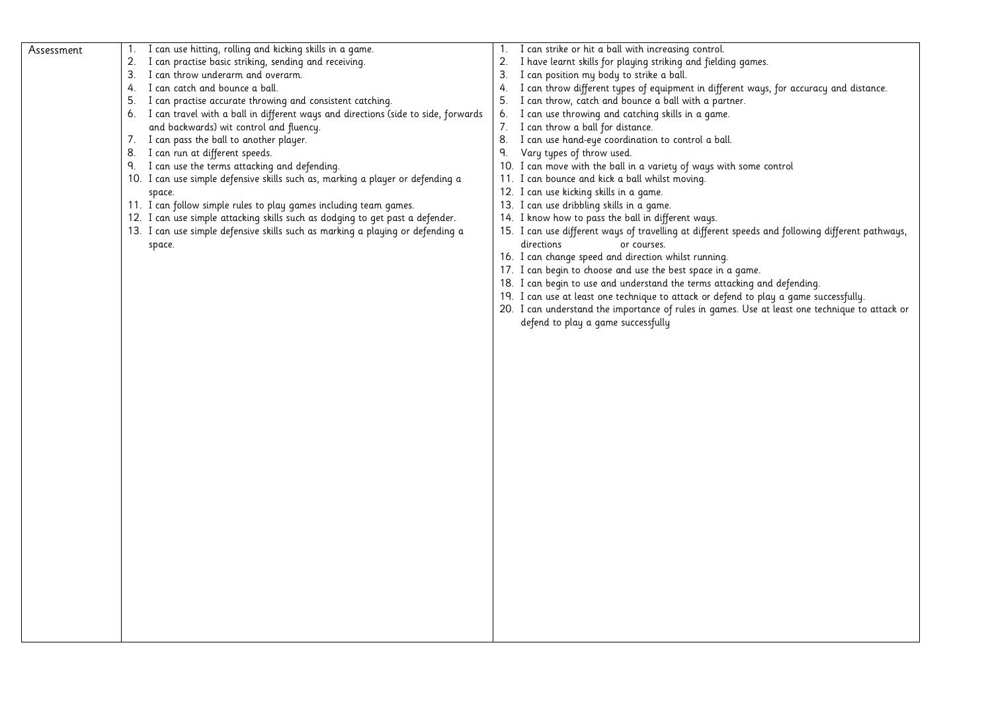| Assessment | I can use hitting, rolling and kicking skills in a game.<br>1.<br>2.<br>I can practise basic striking, sending and receiving.<br>3.<br>I can throw underarm and overarm.<br>I can catch and bounce a ball.<br>4.<br>I can practise accurate throwing and consistent catching.<br>5.<br>6. I can travel with a ball in different ways and directions (side to side, forwards<br>and backwards) wit control and fluency.<br>7. I can pass the ball to another player.<br>I can run at different speeds.<br>8.<br>9. I can use the terms attacking and defending.<br>10. I can use simple defensive skills such as, marking a player or defending a<br>space.<br>11. I can follow simple rules to play games including team games.<br>12. I can use simple attacking skills such as dodging to get past a defender.<br>13. I can use simple defensive skills such as marking a playing or defending a<br>space. | 1. I can strike or hit a ball with increasing control.<br>I have learnt skills for playing striking and fielding games.<br>2.<br>I can position my body to strike a ball.<br>3.<br>I can throw different types of equipment in different ways, for accuracy and distance.<br>4.<br>I can throw, catch and bounce a ball with a partner.<br>5.<br>I can use throwing and catching skills in a game.<br>6.<br>I can throw a ball for distance.<br>7.<br>I can use hand-eye coordination to control a ball.<br>8.<br>٩.<br>Vary types of throw used.<br>10. I can move with the ball in a variety of ways with some control<br>11. I can bounce and kick a ball whilst moving.<br>12. I can use kicking skills in a game.<br>13. I can use dribbling skills in a game.<br>14. I know how to pass the ball in different ways.<br>15. I can use different ways of travelling at different speeds and following different pathways,<br>directions<br>or courses.<br>16. I can change speed and direction whilst running.<br>17. I can begin to choose and use the best space in a game.<br>18. I can begin to use and understand the terms attacking and defending.<br>19. I can use at least one technique to attack or defend to play a game successfully.<br>20. I can understand the importance of rules in games. Use at least one technique to attack or<br>defend to play a game successfully |
|------------|--------------------------------------------------------------------------------------------------------------------------------------------------------------------------------------------------------------------------------------------------------------------------------------------------------------------------------------------------------------------------------------------------------------------------------------------------------------------------------------------------------------------------------------------------------------------------------------------------------------------------------------------------------------------------------------------------------------------------------------------------------------------------------------------------------------------------------------------------------------------------------------------------------------|------------------------------------------------------------------------------------------------------------------------------------------------------------------------------------------------------------------------------------------------------------------------------------------------------------------------------------------------------------------------------------------------------------------------------------------------------------------------------------------------------------------------------------------------------------------------------------------------------------------------------------------------------------------------------------------------------------------------------------------------------------------------------------------------------------------------------------------------------------------------------------------------------------------------------------------------------------------------------------------------------------------------------------------------------------------------------------------------------------------------------------------------------------------------------------------------------------------------------------------------------------------------------------------------------------------------------------------------------------------------------------------------|
|            |                                                                                                                                                                                                                                                                                                                                                                                                                                                                                                                                                                                                                                                                                                                                                                                                                                                                                                              |                                                                                                                                                                                                                                                                                                                                                                                                                                                                                                                                                                                                                                                                                                                                                                                                                                                                                                                                                                                                                                                                                                                                                                                                                                                                                                                                                                                                |
|            |                                                                                                                                                                                                                                                                                                                                                                                                                                                                                                                                                                                                                                                                                                                                                                                                                                                                                                              |                                                                                                                                                                                                                                                                                                                                                                                                                                                                                                                                                                                                                                                                                                                                                                                                                                                                                                                                                                                                                                                                                                                                                                                                                                                                                                                                                                                                |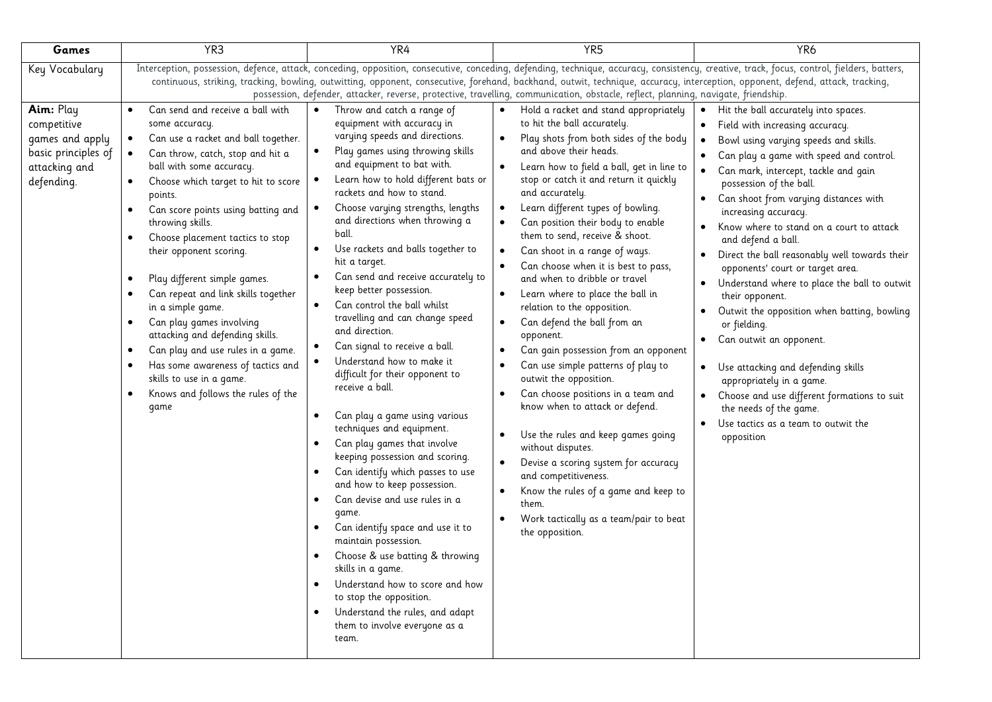| Games                                                                                             | YR <sub>3</sub>                                                                                                                                                                                                                                                                                                                                                                                                                                                                                                                                                                                                                                                                                              | YR4                                                                                                                                                                                                                                                                                                                                                                                                                                                                                                                                                                                                                                                                                                                                                                                                                                                                                                                                                                                                                                                                                                                                                                                                                                                    | YR <sub>5</sub>                                                                                                                                                                                                                                                                                                                                                                                                                                                                                                                                                                                                                                                                                                                                                                                                                                                                                                                                                                                                                                                                                                                                                | YR <sub>6</sub>                                                                                                                                                                                                                                                                                                                                                                                                                                                                                                                                                                                                                                                                                                                                                                                                                                            |  |  |  |  |
|---------------------------------------------------------------------------------------------------|--------------------------------------------------------------------------------------------------------------------------------------------------------------------------------------------------------------------------------------------------------------------------------------------------------------------------------------------------------------------------------------------------------------------------------------------------------------------------------------------------------------------------------------------------------------------------------------------------------------------------------------------------------------------------------------------------------------|--------------------------------------------------------------------------------------------------------------------------------------------------------------------------------------------------------------------------------------------------------------------------------------------------------------------------------------------------------------------------------------------------------------------------------------------------------------------------------------------------------------------------------------------------------------------------------------------------------------------------------------------------------------------------------------------------------------------------------------------------------------------------------------------------------------------------------------------------------------------------------------------------------------------------------------------------------------------------------------------------------------------------------------------------------------------------------------------------------------------------------------------------------------------------------------------------------------------------------------------------------|----------------------------------------------------------------------------------------------------------------------------------------------------------------------------------------------------------------------------------------------------------------------------------------------------------------------------------------------------------------------------------------------------------------------------------------------------------------------------------------------------------------------------------------------------------------------------------------------------------------------------------------------------------------------------------------------------------------------------------------------------------------------------------------------------------------------------------------------------------------------------------------------------------------------------------------------------------------------------------------------------------------------------------------------------------------------------------------------------------------------------------------------------------------|------------------------------------------------------------------------------------------------------------------------------------------------------------------------------------------------------------------------------------------------------------------------------------------------------------------------------------------------------------------------------------------------------------------------------------------------------------------------------------------------------------------------------------------------------------------------------------------------------------------------------------------------------------------------------------------------------------------------------------------------------------------------------------------------------------------------------------------------------------|--|--|--|--|
| Key Vocabulary                                                                                    | Interception, possession, defence, attack, conceding, opposition, consecutive, conceding, defending, technique, accuracy, consistency, creative, track, focus, control, fielders, batters,<br>continuous, striking, tracking, bowling, outwitting, opponent, consecutive, forehand, backhand, outwit, technique, accuracy, interception, opponent, defend, attack, tracking,<br>possession, defender, attacker, reverse, protective, travelling, communication, obstacle, reflect, planning, navigate, friendship.                                                                                                                                                                                           |                                                                                                                                                                                                                                                                                                                                                                                                                                                                                                                                                                                                                                                                                                                                                                                                                                                                                                                                                                                                                                                                                                                                                                                                                                                        |                                                                                                                                                                                                                                                                                                                                                                                                                                                                                                                                                                                                                                                                                                                                                                                                                                                                                                                                                                                                                                                                                                                                                                |                                                                                                                                                                                                                                                                                                                                                                                                                                                                                                                                                                                                                                                                                                                                                                                                                                                            |  |  |  |  |
| Aim: Play<br>competitive<br>games and apply<br>basic principles of<br>attacking and<br>defending. | Can send and receive a ball with<br>$\bullet$<br>some accuracy.<br>Can use a racket and ball together.<br>$\bullet$<br>Can throw, catch, stop and hit a<br>$\bullet$<br>ball with some accuracy.<br>Choose which target to hit to score<br>points.<br>Can score points using batting and<br>throwing skills.<br>Choose placement tactics to stop<br>their opponent scoring.<br>Play different simple games.<br>Can repeat and link skills together<br>in a simple game.<br>Can play games involving<br>$\bullet$<br>attacking and defending skills.<br>Can play and use rules in a game.<br>٠<br>Has some awareness of tactics and<br>skills to use in a game.<br>Knows and follows the rules of the<br>game | Throw and catch a range of<br>$\bullet$<br>equipment with accuracy in<br>varying speeds and directions.<br>Play games using throwing skills<br>$\bullet$<br>and equipment to bat with.<br>Learn how to hold different bats or<br>rackets and how to stand.<br>Choose varying strengths, lengths<br>and directions when throwing a<br>ball.<br>Use rackets and balls together to<br>$\bullet$<br>hit a target.<br>Can send and receive accurately to<br>$\bullet$<br>keep better possession.<br>Can control the ball whilst<br>$\bullet$<br>travelling and can change speed<br>and direction.<br>Can signal to receive a ball.<br>Understand how to make it<br>difficult for their opponent to<br>receive a ball.<br>Can play a game using various<br>$\bullet$<br>techniques and equipment.<br>Can play games that involve<br>keeping possession and scoring.<br>Can identify which passes to use<br>and how to keep possession.<br>Can devise and use rules in a<br>game.<br>Can identify space and use it to<br>maintain possession.<br>Choose & use batting & throwing<br>skills in a game.<br>Understand how to score and how<br>$\bullet$<br>to stop the opposition.<br>Understand the rules, and adapt<br>them to involve everyone as a<br>team. | Hold a racket and stand appropriately<br>$\bullet$<br>to hit the ball accurately.<br>Play shots from both sides of the body<br>$\bullet$<br>and above their heads.<br>Learn how to field a ball, get in line to<br>$\bullet$<br>stop or catch it and return it quickly<br>and accurately.<br>Learn different types of bowling.<br>$\bullet$<br>Can position their body to enable<br>$\bullet$<br>them to send, receive & shoot.<br>Can shoot in a range of ways.<br>$\bullet$<br>Can choose when it is best to pass,<br>$\bullet$<br>and when to dribble or travel<br>Learn where to place the ball in<br>relation to the opposition.<br>Can defend the ball from an<br>$\bullet$<br>opponent.<br>Can gain possession from an opponent<br>Can use simple patterns of play to<br>outwit the opposition.<br>Can choose positions in a team and<br>know when to attack or defend.<br>Use the rules and keep games going<br>without disputes.<br>Devise a scoring system for accuracy<br>$\bullet$<br>and competitiveness.<br>Know the rules of a game and keep to<br>$\bullet$<br>them.<br>Work tactically as a team/pair to beat<br>$\bullet$<br>the opposition. | Hit the ball accurately into spaces.<br>$\bullet$<br>Field with increasing accuracy.<br>$\bullet$<br>Bowl using varying speeds and skills.<br>Can play a game with speed and control.<br>Can mark, intercept, tackle and gain<br>possession of the ball.<br>Can shoot from varying distances with<br>$\bullet$<br>increasing accuracy.<br>Know where to stand on a court to attack<br>and defend a ball.<br>Direct the ball reasonably well towards their<br>opponents' court or target area.<br>Understand where to place the ball to outwit<br>their opponent.<br>Outwit the opposition when batting, bowling<br>or fielding.<br>Can outwit an opponent.<br>Use attacking and defending skills<br>appropriately in a game.<br>Choose and use different formations to suit<br>the needs of the game.<br>Use tactics as a team to outwit the<br>opposition |  |  |  |  |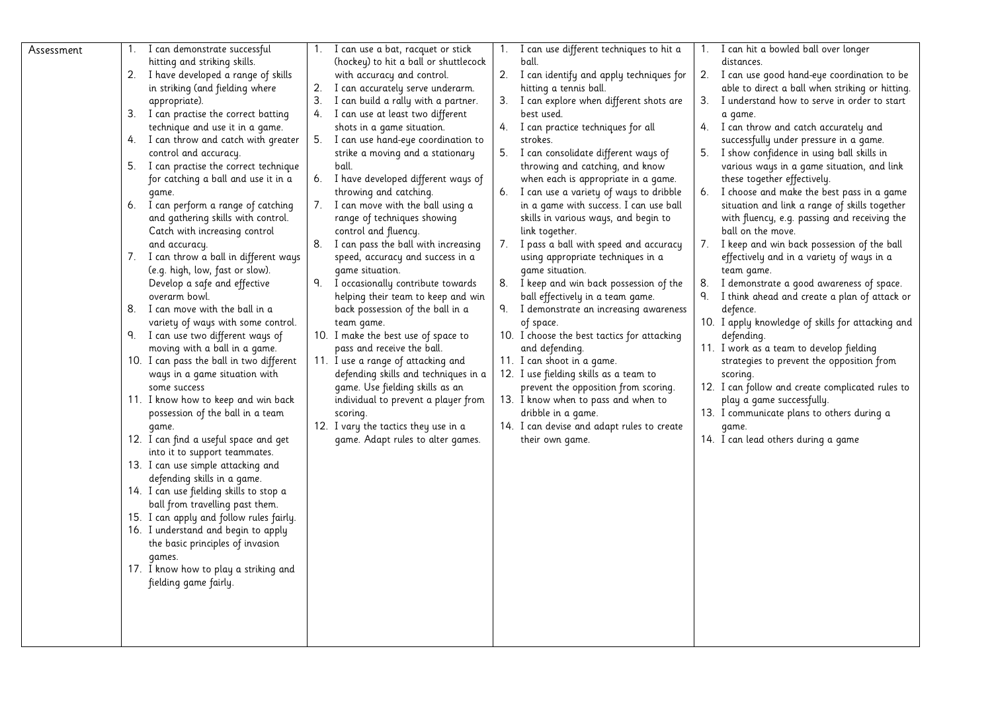| Assessment | $1_{\cdot}$ | I can demonstrate successful             |    | 1. I can use a bat, racquet or stick  | 1. I can use different techniques to hit a  |    | 1. I can hit a bowled ball over longer            |
|------------|-------------|------------------------------------------|----|---------------------------------------|---------------------------------------------|----|---------------------------------------------------|
|            |             | hitting and striking skills.             |    | (hockey) to hit a ball or shuttlecock | ball.                                       |    | distances.                                        |
|            |             | 2. I have developed a range of skills    |    | with accuracy and control.            | 2. I can identify and apply techniques for  |    | 2. I can use good hand-eye coordination to be     |
|            |             | in striking (and fielding where          | 2. | I can accurately serve underarm.      | hitting a tennis ball.                      |    | able to direct a ball when striking or hitting.   |
|            |             | appropriate).                            | 3. | I can build a rally with a partner.   | 3. I can explore when different shots are   |    | 3. I understand how to serve in order to start    |
|            | 3.          | I can practise the correct batting       |    | 4. I can use at least two different   | best used.                                  |    | a game.                                           |
|            |             | technique and use it in a game.          |    | shots in a game situation.            | 4. I can practice techniques for all        |    | 4. I can throw and catch accurately and           |
|            |             | 4. I can throw and catch with greater    |    | 5. I can use hand-eye coordination to | strokes.                                    |    | successfully under pressure in a game.            |
|            |             | control and accuracy.                    |    | strike a moving and a stationary      | 5. I can consolidate different ways of      | 5. | I show confidence in using ball skills in         |
|            |             | 5. I can practise the correct technique  |    | ball.                                 | throwing and catching, and know             |    | various ways in a game situation, and link        |
|            |             | for catching a ball and use it in a      |    | 6. I have developed different ways of | when each is appropriate in a game.         |    | these together effectively.                       |
|            |             | game.                                    |    | throwing and catching.                | 6. I can use a variety of ways to dribble   |    | 6. I choose and make the best pass in a game      |
|            |             | 6. I can perform a range of catching     |    | 7. I can move with the ball using a   | in a game with success. I can use ball      |    | situation and link a range of skills together     |
|            |             | and gathering skills with control.       |    | range of techniques showing           | skills in various ways, and begin to        |    | with fluency, e.g. passing and receiving the      |
|            |             | Catch with increasing control            |    | control and fluency.                  | link together.                              |    | ball on the move.                                 |
|            |             | and accuracy.                            | 8. | I can pass the ball with increasing   | 7. I pass a ball with speed and accuracy    |    | 7. I keep and win back possession of the ball     |
|            | 7.          | I can throw a ball in different ways     |    | speed, accuracy and success in a      | using appropriate techniques in a           |    | effectively and in a variety of ways in a         |
|            |             | (e.g. high, low, fast or slow).          |    | game situation.                       | game situation.                             |    | team game.                                        |
|            |             | Develop a safe and effective             | 9. | I occasionally contribute towards     | 8. I keep and win back possession of the    | 8. | I demonstrate a good awareness of space.          |
|            |             | overarm bowl.                            |    | helping their team to keep and win    | ball effectively in a team game.            | ٩. | I think ahead and create a plan of attack or      |
|            | 8.          | I can move with the ball in a            |    | back possession of the ball in a      | 9. I demonstrate an increasing awareness    |    | defence.                                          |
|            |             | variety of ways with some control.       |    | team game.                            | of space.                                   |    | 10. I apply knowledge of skills for attacking and |
|            |             | 9. I can use two different ways of       |    | 10. I make the best use of space to   | 10. I choose the best tactics for attacking |    | defending.                                        |
|            |             | moving with a ball in a game.            |    | pass and receive the ball.            | and defending.                              |    | 11. I work as a team to develop fielding          |
|            |             | 10. I can pass the ball in two different |    | 11. I use a range of attacking and    | 11. I can shoot in a game.                  |    | strategies to prevent the opposition from         |
|            |             | ways in a game situation with            |    | defending skills and techniques in a  | 12. I use fielding skills as a team to      |    | scoring.                                          |
|            |             | some success                             |    | game. Use fielding skills as an       | prevent the opposition from scoring.        |    | 12. I can follow and create complicated rules to  |
|            |             | 11. I know how to keep and win back      |    | individual to prevent a player from   | 13. I know when to pass and when to         |    | play a game successfully.                         |
|            |             | possession of the ball in a team         |    | scoring.                              | dribble in a game.                          |    | 13. I communicate plans to others during a        |
|            |             | qame.                                    |    | 12. I vary the tactics they use in a  | 14. I can devise and adapt rules to create  |    | qame.                                             |
|            |             | 12. I can find a useful space and get    |    | game. Adapt rules to alter games.     | their own game.                             |    | 14. I can lead others during a game               |
|            |             | into it to support teammates.            |    |                                       |                                             |    |                                                   |
|            |             | 13. I can use simple attacking and       |    |                                       |                                             |    |                                                   |
|            |             | defending skills in a game.              |    |                                       |                                             |    |                                                   |
|            |             | 14. I can use fielding skills to stop a  |    |                                       |                                             |    |                                                   |
|            |             | ball from travelling past them.          |    |                                       |                                             |    |                                                   |
|            |             | 15. I can apply and follow rules fairly. |    |                                       |                                             |    |                                                   |
|            |             | 16. I understand and begin to apply      |    |                                       |                                             |    |                                                   |
|            |             | the basic principles of invasion         |    |                                       |                                             |    |                                                   |
|            |             | games.                                   |    |                                       |                                             |    |                                                   |
|            |             | 17. I know how to play a striking and    |    |                                       |                                             |    |                                                   |
|            |             | fielding game fairly.                    |    |                                       |                                             |    |                                                   |
|            |             |                                          |    |                                       |                                             |    |                                                   |
|            |             |                                          |    |                                       |                                             |    |                                                   |
|            |             |                                          |    |                                       |                                             |    |                                                   |
|            |             |                                          |    |                                       |                                             |    |                                                   |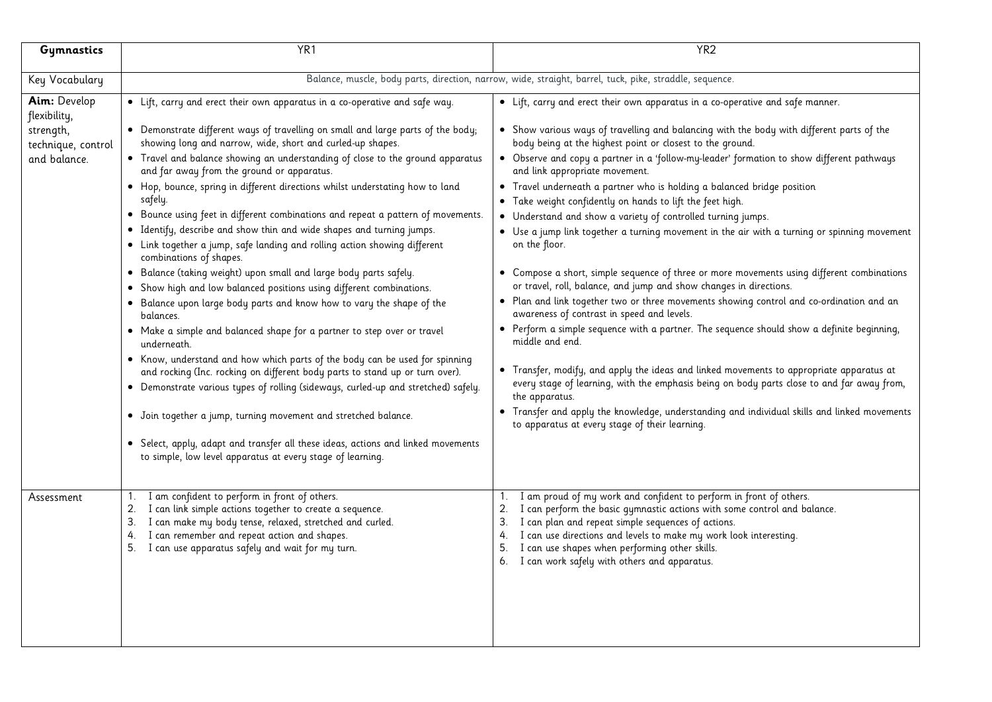| Gymnastics                                                                      | YR <sub>1</sub>                                                                                                                                                                                                                                                                                                                                                                                                                                                                                                                                                                                                                                                                                                                                                                                                                                                                                                                                                                                                                                                                                                                                                                                                                                                                                                                                                                                                                                                                                                                        | YR <sub>2</sub>                                                                                                                                                                                                                                                                                                                                                                                                                                                                                                                                                                                                                                                                                                                                                                                                                                                                                                                                                                                                                                                                                                                                                                                                                                                                                                                                                                                                                                                                                        |
|---------------------------------------------------------------------------------|----------------------------------------------------------------------------------------------------------------------------------------------------------------------------------------------------------------------------------------------------------------------------------------------------------------------------------------------------------------------------------------------------------------------------------------------------------------------------------------------------------------------------------------------------------------------------------------------------------------------------------------------------------------------------------------------------------------------------------------------------------------------------------------------------------------------------------------------------------------------------------------------------------------------------------------------------------------------------------------------------------------------------------------------------------------------------------------------------------------------------------------------------------------------------------------------------------------------------------------------------------------------------------------------------------------------------------------------------------------------------------------------------------------------------------------------------------------------------------------------------------------------------------------|--------------------------------------------------------------------------------------------------------------------------------------------------------------------------------------------------------------------------------------------------------------------------------------------------------------------------------------------------------------------------------------------------------------------------------------------------------------------------------------------------------------------------------------------------------------------------------------------------------------------------------------------------------------------------------------------------------------------------------------------------------------------------------------------------------------------------------------------------------------------------------------------------------------------------------------------------------------------------------------------------------------------------------------------------------------------------------------------------------------------------------------------------------------------------------------------------------------------------------------------------------------------------------------------------------------------------------------------------------------------------------------------------------------------------------------------------------------------------------------------------------|
| Key Vocabulary                                                                  |                                                                                                                                                                                                                                                                                                                                                                                                                                                                                                                                                                                                                                                                                                                                                                                                                                                                                                                                                                                                                                                                                                                                                                                                                                                                                                                                                                                                                                                                                                                                        | Balance, muscle, body parts, direction, narrow, wide, straight, barrel, tuck, pike, straddle, sequence.                                                                                                                                                                                                                                                                                                                                                                                                                                                                                                                                                                                                                                                                                                                                                                                                                                                                                                                                                                                                                                                                                                                                                                                                                                                                                                                                                                                                |
|                                                                                 |                                                                                                                                                                                                                                                                                                                                                                                                                                                                                                                                                                                                                                                                                                                                                                                                                                                                                                                                                                                                                                                                                                                                                                                                                                                                                                                                                                                                                                                                                                                                        |                                                                                                                                                                                                                                                                                                                                                                                                                                                                                                                                                                                                                                                                                                                                                                                                                                                                                                                                                                                                                                                                                                                                                                                                                                                                                                                                                                                                                                                                                                        |
| Aim: Develop<br>flexibility,<br>strength,<br>technique, control<br>and balance. | • Lift, carry and erect their own apparatus in a co-operative and safe way.<br>• Demonstrate different ways of travelling on small and large parts of the body;<br>showing long and narrow, wide, short and curled-up shapes.<br>• Travel and balance showing an understanding of close to the ground apparatus<br>and far away from the ground or apparatus.<br>. Hop, bounce, spring in different directions whilst understating how to land<br>safely.<br>• Bounce using feet in different combinations and repeat a pattern of movements.<br>• Identify, describe and show thin and wide shapes and turning jumps.<br>• Link together a jump, safe landing and rolling action showing different<br>combinations of shapes.<br>· Balance (taking weight) upon small and large body parts safely.<br>• Show high and low balanced positions using different combinations.<br>. Balance upon large body parts and know how to vary the shape of the<br>balances.<br>• Make a simple and balanced shape for a partner to step over or travel<br>underneath.<br>• Know, understand and how which parts of the body can be used for spinning<br>and rocking (Inc. rocking on different body parts to stand up or turn over).<br>• Demonstrate various types of rolling (sideways, curled-up and stretched) safely.<br>• Join together a jump, turning movement and stretched balance.<br>• Select, apply, adapt and transfer all these ideas, actions and linked movements<br>to simple, low level apparatus at every stage of learning. | • Lift, carry and erect their own apparatus in a co-operative and safe manner.<br>• Show various ways of travelling and balancing with the body with different parts of the<br>body being at the highest point or closest to the ground.<br>• Observe and copy a partner in a 'follow-my-leader' formation to show different pathways<br>and link appropriate movement.<br>Travel underneath a partner who is holding a balanced bridge position<br>$\bullet$<br>Take weight confidently on hands to lift the feet high.<br>• Understand and show a variety of controlled turning jumps.<br>• Use a jump link together a turning movement in the air with a turning or spinning movement<br>on the floor.<br>• Compose a short, simple sequence of three or more movements using different combinations<br>or travel, roll, balance, and jump and show changes in directions.<br>. Plan and link together two or three movements showing control and co-ordination and an<br>awareness of contrast in speed and levels.<br>• Perform a simple sequence with a partner. The sequence should show a definite beginning,<br>middle and end.<br>• Transfer, modify, and apply the ideas and linked movements to appropriate apparatus at<br>every stage of learning, with the emphasis being on body parts close to and far away from,<br>the apparatus.<br>• Transfer and apply the knowledge, understanding and individual skills and linked movements<br>to apparatus at every stage of their learning. |
| Assessment                                                                      | I am confident to perform in front of others.<br>1.<br>I can link simple actions together to create a sequence.<br>2.<br>I can make my body tense, relaxed, stretched and curled.<br>3.<br>I can remember and repeat action and shapes.<br>4.<br>I can use apparatus safely and wait for my turn.<br>5.                                                                                                                                                                                                                                                                                                                                                                                                                                                                                                                                                                                                                                                                                                                                                                                                                                                                                                                                                                                                                                                                                                                                                                                                                                | I am proud of my work and confident to perform in front of others.<br>I can perform the basic gymnastic actions with some control and balance.<br>2.<br>3. I can plan and repeat simple sequences of actions.<br>4. I can use directions and levels to make my work look interesting.<br>I can use shapes when performing other skills.<br>5.<br>6. I can work safely with others and apparatus.                                                                                                                                                                                                                                                                                                                                                                                                                                                                                                                                                                                                                                                                                                                                                                                                                                                                                                                                                                                                                                                                                                       |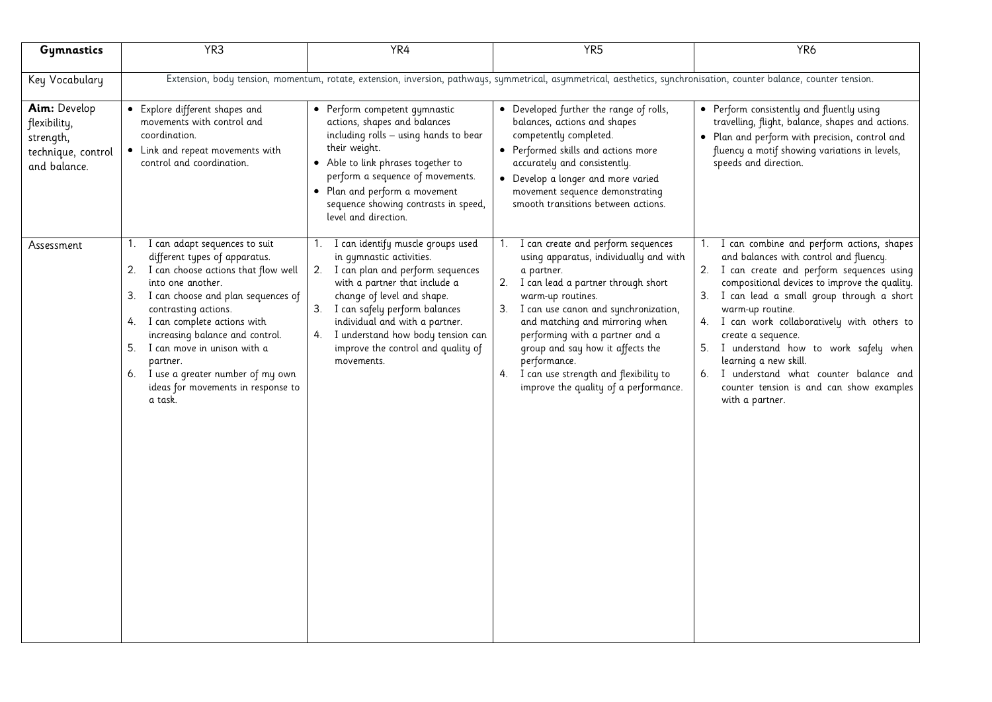| Gymnastics                                                                      | YR <sub>3</sub>                                                                                                                                                                                                                                                                                                                                                                                                          | YR4                                                                                                                                                                                                                                                                                                                                      | YR <sub>5</sub>                                                                                                                                                                                                                                                                                                                                                                                                          | YR <sub>6</sub>                                                                                                                                                                                                                                                                                                                                                                                                                                                                                                   |  |  |  |
|---------------------------------------------------------------------------------|--------------------------------------------------------------------------------------------------------------------------------------------------------------------------------------------------------------------------------------------------------------------------------------------------------------------------------------------------------------------------------------------------------------------------|------------------------------------------------------------------------------------------------------------------------------------------------------------------------------------------------------------------------------------------------------------------------------------------------------------------------------------------|--------------------------------------------------------------------------------------------------------------------------------------------------------------------------------------------------------------------------------------------------------------------------------------------------------------------------------------------------------------------------------------------------------------------------|-------------------------------------------------------------------------------------------------------------------------------------------------------------------------------------------------------------------------------------------------------------------------------------------------------------------------------------------------------------------------------------------------------------------------------------------------------------------------------------------------------------------|--|--|--|
| Key Vocabulary                                                                  | Extension, body tension, momentum, rotate, extension, inversion, pathways, symmetrical, asymmetrical, aesthetics, synchronisation, counter balance, counter tension.                                                                                                                                                                                                                                                     |                                                                                                                                                                                                                                                                                                                                          |                                                                                                                                                                                                                                                                                                                                                                                                                          |                                                                                                                                                                                                                                                                                                                                                                                                                                                                                                                   |  |  |  |
| Aim: Develop<br>flexibility,<br>strength,<br>technique, control<br>and balance. | • Explore different shapes and<br>movements with control and<br>coordination.<br>• Link and repeat movements with<br>control and coordination.                                                                                                                                                                                                                                                                           | • Perform competent gymnastic<br>actions, shapes and balances<br>including rolls - using hands to bear<br>their weight.<br>• Able to link phrases together to<br>perform a sequence of movements.<br>• Plan and perform a movement<br>sequence showing contrasts in speed,<br>level and direction.                                       | • Developed further the range of rolls,<br>balances, actions and shapes<br>competently completed.<br>• Performed skills and actions more<br>accurately and consistently.<br>• Develop a longer and more varied<br>movement sequence demonstrating<br>smooth transitions between actions.                                                                                                                                 | • Perform consistently and fluently using<br>travelling, flight, balance, shapes and actions.<br>• Plan and perform with precision, control and<br>fluency a motif showing variations in levels,<br>speeds and direction.                                                                                                                                                                                                                                                                                         |  |  |  |
| Assessment                                                                      | 1. I can adapt sequences to suit<br>different types of apparatus.<br>I can choose actions that flow well<br>2.<br>into one another.<br>I can choose and plan sequences of<br>3.<br>contrasting actions.<br>I can complete actions with<br>4.<br>increasing balance and control.<br>I can move in unison with a<br>5.<br>partner.<br>6. I use a greater number of my own<br>ideas for movements in response to<br>a task. | 1. I can identify muscle groups used<br>in qymnastic activities.<br>2. I can plan and perform sequences<br>with a partner that include a<br>change of level and shape.<br>3. I can safely perform balances<br>individual and with a partner.<br>4. I understand how body tension can<br>improve the control and quality of<br>movements. | I can create and perform sequences<br>1.<br>using apparatus, individually and with<br>a partner.<br>2. I can lead a partner through short<br>warm-up routines.<br>3. I can use canon and synchronization,<br>and matching and mirroring when<br>performing with a partner and a<br>group and say how it affects the<br>performance.<br>4. I can use strength and flexibility to<br>improve the quality of a performance. | 1. I can combine and perform actions, shapes<br>and balances with control and fluency.<br>2. I can create and perform sequences using<br>compositional devices to improve the quality.<br>3. I can lead a small group through a short<br>warm-up routine.<br>4. I can work collaboratively with others to<br>create a sequence.<br>5.<br>I understand how to work safely when<br>learning a new skill.<br>6. I understand what counter balance and<br>counter tension is and can show examples<br>with a partner. |  |  |  |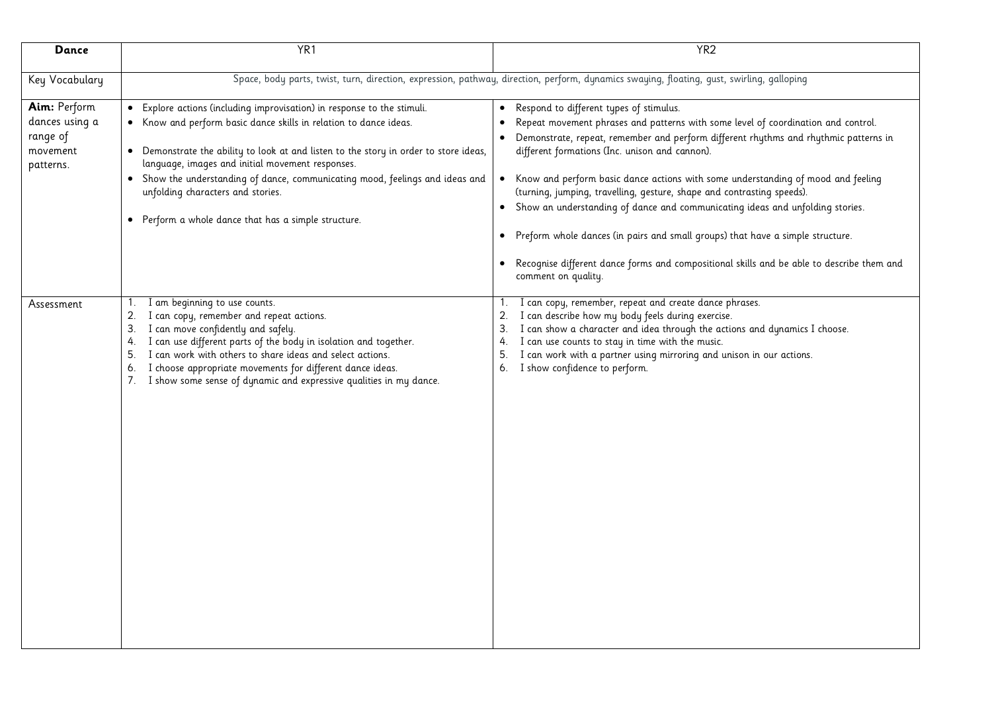| Dance                                                               | YR <sub>1</sub>                                                                                                                                                                                                                                                                                                                                                                                                                                                         | YR <sub>2</sub>                                                                                                                                                                                                                                                                                                                                                                                                                                                                                                                                                                                                                                                                                                                                  |
|---------------------------------------------------------------------|-------------------------------------------------------------------------------------------------------------------------------------------------------------------------------------------------------------------------------------------------------------------------------------------------------------------------------------------------------------------------------------------------------------------------------------------------------------------------|--------------------------------------------------------------------------------------------------------------------------------------------------------------------------------------------------------------------------------------------------------------------------------------------------------------------------------------------------------------------------------------------------------------------------------------------------------------------------------------------------------------------------------------------------------------------------------------------------------------------------------------------------------------------------------------------------------------------------------------------------|
| Key Vocabulary                                                      |                                                                                                                                                                                                                                                                                                                                                                                                                                                                         | Space, body parts, twist, turn, direction, expression, pathway, direction, perform, dynamics swaying, floating, qust, swirling, galloping                                                                                                                                                                                                                                                                                                                                                                                                                                                                                                                                                                                                        |
| Aim: Perform<br>dances using a<br>range of<br>movement<br>patterns. | • Explore actions (including improvisation) in response to the stimuli.<br>• Know and perform basic dance skills in relation to dance ideas.<br>• Demonstrate the ability to look at and listen to the story in order to store ideas,<br>language, images and initial movement responses.<br>• Show the understanding of dance, communicating mood, feelings and ideas and<br>unfolding characters and stories.<br>• Perform a whole dance that has a simple structure. | • Respond to different types of stimulus.<br>Repeat movement phrases and patterns with some level of coordination and control.<br>Demonstrate, repeat, remember and perform different rhythms and rhythmic patterns in<br>different formations (Inc. unison and cannon).<br>Know and perform basic dance actions with some understanding of mood and feeling<br>$\bullet$<br>(turning, jumping, travelling, gesture, shape and contrasting speeds).<br>• Show an understanding of dance and communicating ideas and unfolding stories.<br>• Preform whole dances (in pairs and small groups) that have a simple structure.<br>• Recognise different dance forms and compositional skills and be able to describe them and<br>comment on quality. |
| Assessment                                                          | I am beginning to use counts.<br>1.<br>2.<br>I can copy, remember and repeat actions.<br>I can move confidently and safely.<br>3.<br>I can use different parts of the body in isolation and together.<br>4.<br>I can work with others to share ideas and select actions.<br>5.<br>I choose appropriate movements for different dance ideas.<br>6.<br>I show some sense of dynamic and expressive qualities in my dance.<br>7.                                           | I can copy, remember, repeat and create dance phrases.<br>1.<br>2.<br>I can describe how my body feels during exercise.<br>I can show a character and idea through the actions and dynamics I choose.<br>3.<br>I can use counts to stay in time with the music.<br>4.<br>I can work with a partner using mirroring and unison in our actions.<br>5.<br>6. I show confidence to perform.                                                                                                                                                                                                                                                                                                                                                          |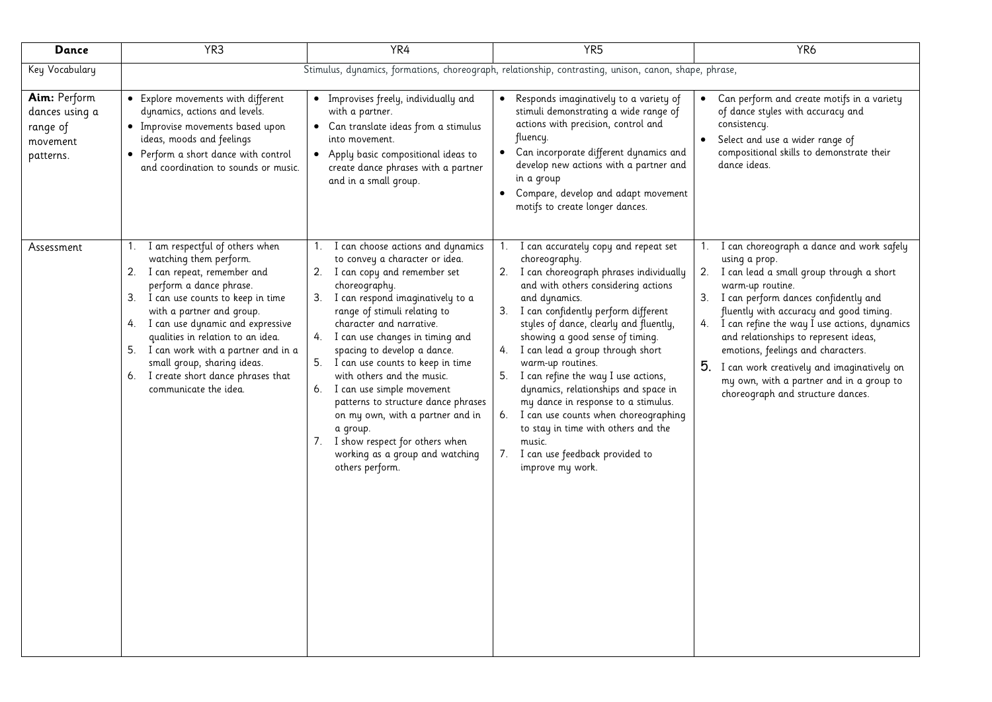| <b>Dance</b>                                                        | YR <sub>3</sub>                                                                                                                                                                                                                                                                                                                                                                                                        | YR4                                                                                                                                                                                                                                                                                                                                                                                                                                                                                                                                                                                      | YR <sub>5</sub>                                                                                                                                                                                                                                                                                                                                                                                                                                                                                                                                                                                                                               | YR <sub>6</sub>                                                                                                                                                                                                                                                                                                                                                                                                                                                                         |  |  |  |  |
|---------------------------------------------------------------------|------------------------------------------------------------------------------------------------------------------------------------------------------------------------------------------------------------------------------------------------------------------------------------------------------------------------------------------------------------------------------------------------------------------------|------------------------------------------------------------------------------------------------------------------------------------------------------------------------------------------------------------------------------------------------------------------------------------------------------------------------------------------------------------------------------------------------------------------------------------------------------------------------------------------------------------------------------------------------------------------------------------------|-----------------------------------------------------------------------------------------------------------------------------------------------------------------------------------------------------------------------------------------------------------------------------------------------------------------------------------------------------------------------------------------------------------------------------------------------------------------------------------------------------------------------------------------------------------------------------------------------------------------------------------------------|-----------------------------------------------------------------------------------------------------------------------------------------------------------------------------------------------------------------------------------------------------------------------------------------------------------------------------------------------------------------------------------------------------------------------------------------------------------------------------------------|--|--|--|--|
| Key Vocabulary                                                      |                                                                                                                                                                                                                                                                                                                                                                                                                        | Stimulus, dynamics, formations, choreograph, relationship, contrasting, unison, canon, shape, phrase,                                                                                                                                                                                                                                                                                                                                                                                                                                                                                    |                                                                                                                                                                                                                                                                                                                                                                                                                                                                                                                                                                                                                                               |                                                                                                                                                                                                                                                                                                                                                                                                                                                                                         |  |  |  |  |
| Aim: Perform<br>dances using a<br>range of<br>movement<br>patterns. | • Explore movements with different<br>dynamics, actions and levels.<br>· Improvise movements based upon<br>ideas, moods and feelings<br>• Perform a short dance with control<br>and coordination to sounds or music.                                                                                                                                                                                                   | • Improvises freely, individually and<br>with a partner.<br>• Can translate ideas from a stimulus<br>into movement.<br>Apply basic compositional ideas to<br>$\bullet$<br>create dance phrases with a partner<br>and in a small group.                                                                                                                                                                                                                                                                                                                                                   | Responds imaginatively to a variety of<br>$\bullet$<br>stimuli demonstrating a wide range of<br>actions with precision, control and<br>fluency.<br>Can incorporate different dynamics and<br>$\bullet$<br>develop new actions with a partner and<br>in a group<br>Compare, develop and adapt movement<br>$\bullet$<br>motifs to create longer dances.                                                                                                                                                                                                                                                                                         | Can perform and create motifs in a variety<br>of dance styles with accuracy and<br>consistency.<br>Select and use a wider range of<br>compositional skills to demonstrate their<br>dance ideas.                                                                                                                                                                                                                                                                                         |  |  |  |  |
| Assessment                                                          | I am respectful of others when<br>watching them perform.<br>2. I can repeat, remember and<br>perform a dance phrase.<br>3. I can use counts to keep in time<br>with a partner and group.<br>I can use dynamic and expressive<br>4.<br>qualities in relation to an idea.<br>I can work with a partner and in a<br>5.<br>small group, sharing ideas.<br>I create short dance phrases that<br>6.<br>communicate the idea. | 1. I can choose actions and dynamics<br>to convey a character or idea.<br>2. I can copy and remember set<br>choreography.<br>3. I can respond imaginatively to a<br>range of stimuli relating to<br>character and narrative.<br>4. I can use changes in timing and<br>spacing to develop a dance.<br>5. I can use counts to keep in time<br>with others and the music.<br>6. I can use simple movement<br>patterns to structure dance phrases<br>on my own, with a partner and in<br>a group.<br>7. I show respect for others when<br>working as a group and watching<br>others perform. | 1. I can accurately copy and repeat set<br>choreography.<br>2. I can choreograph phrases individually<br>and with others considering actions<br>and dynamics.<br>I can confidently perform different<br>3.<br>styles of dance, clearly and fluently,<br>showing a good sense of timing.<br>I can lead a group through short<br>4.<br>warm-up routines.<br>I can refine the way I use actions,<br>5.<br>dynamics, relationships and space in<br>my dance in response to a stimulus.<br>I can use counts when choreographing<br>6.<br>to stay in time with others and the<br>music.<br>I can use feedback provided to<br>7.<br>improve my work. | I can choreograph a dance and work safely<br>using a prop.<br>2. I can lead a small group through a short<br>warm-up routine.<br>3. I can perform dances confidently and<br>fluently with accuracy and good timing.<br>4. I can refine the way I use actions, dynamics<br>and relationships to represent ideas,<br>emotions, feelings and characters.<br>5. I can work creatively and imaginatively on<br>my own, with a partner and in a group to<br>choreograph and structure dances. |  |  |  |  |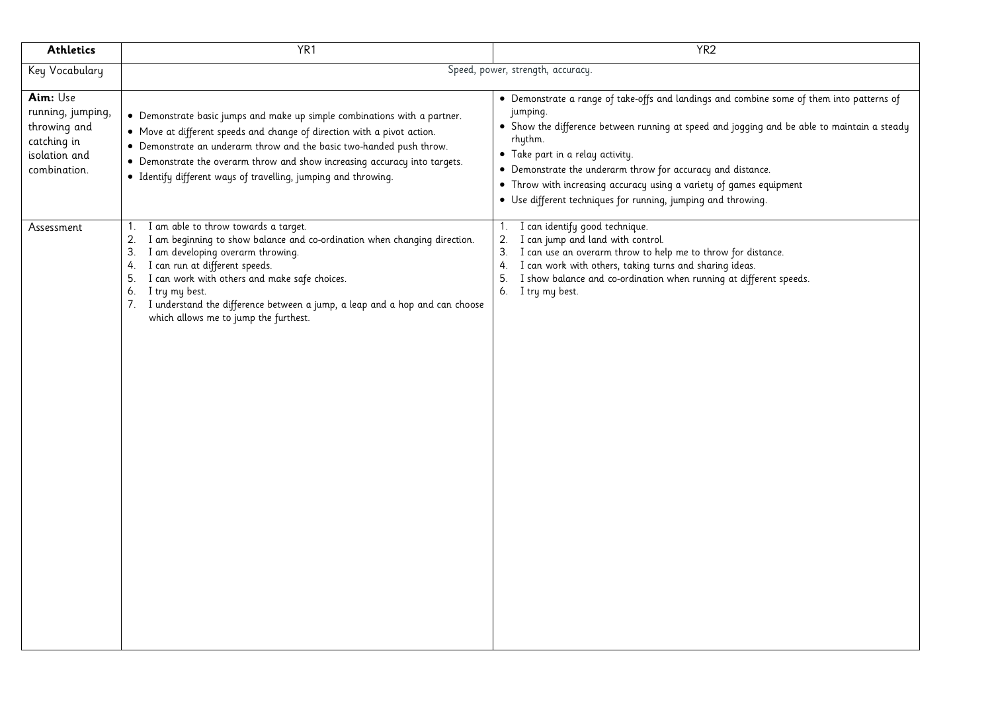| <b>Athletics</b>                                                                              | YR <sub>1</sub>                                                                                                                                                                                                                                                                                                                                                                                                               | YR <sub>2</sub>                                                                                                                                                                                                                                                                                                                                                                                                                                            |
|-----------------------------------------------------------------------------------------------|-------------------------------------------------------------------------------------------------------------------------------------------------------------------------------------------------------------------------------------------------------------------------------------------------------------------------------------------------------------------------------------------------------------------------------|------------------------------------------------------------------------------------------------------------------------------------------------------------------------------------------------------------------------------------------------------------------------------------------------------------------------------------------------------------------------------------------------------------------------------------------------------------|
| Key Vocabulary                                                                                |                                                                                                                                                                                                                                                                                                                                                                                                                               | Speed, power, strength, accuracy.                                                                                                                                                                                                                                                                                                                                                                                                                          |
| Aim: Use<br>running, jumping,<br>throwing and<br>catching in<br>isolation and<br>combination. | • Demonstrate basic jumps and make up simple combinations with a partner.<br>• Move at different speeds and change of direction with a pivot action.<br>• Demonstrate an underarm throw and the basic two-handed push throw.<br>• Demonstrate the overarm throw and show increasing accuracy into targets.<br>· Identify different ways of travelling, jumping and throwing.                                                  | • Demonstrate a range of take-offs and landings and combine some of them into patterns of<br>jumping.<br>• Show the difference between running at speed and jogging and be able to maintain a steady<br>rhythm.<br>• Take part in a relay activity.<br>• Demonstrate the underarm throw for accuracy and distance.<br>• Throw with increasing accuracy using a variety of games equipment<br>• Use different techniques for running, jumping and throwing. |
| Assessment                                                                                    | I am able to throw towards a target.<br>1.<br>2.<br>I am beginning to show balance and co-ordination when changing direction.<br>I am developing overarm throwing.<br>3.<br>I can run at different speeds.<br>4.<br>I can work with others and make safe choices.<br>5.<br>I try my best.<br>6.<br>I understand the difference between a jump, a leap and a hop and can choose<br>7.<br>which allows me to jump the furthest. | 1. I can identify good technique.<br>I can jump and land with control.<br>2.<br>3. I can use an overarm throw to help me to throw for distance.<br>4. I can work with others, taking turns and sharing ideas.<br>I show balance and co-ordination when running at different speeds.<br>5.<br>6. I try my best.                                                                                                                                             |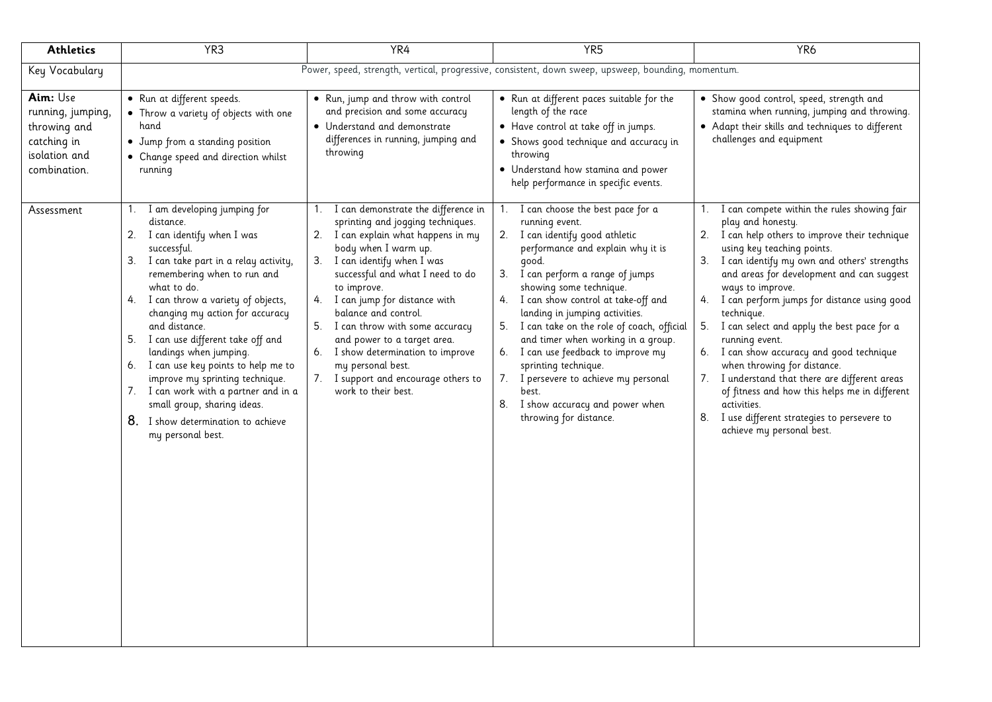| <b>Athletics</b>                                                                                            | YR <sub>3</sub>                                                                                                                                                                                                                                                                                                                                                                                                                                                                                                                            | YR4                                                                                                                                                                                                                                                                                                                                                                                                     | YR <sub>5</sub>                                                                                                                                                                                                                                                                                                                                                                                                                                                                                               | YR <sub>6</sub>                                                                                                                                                                                                                                                                                                                                                                                                                                                                                                                                                                                                    |  |  |  |  |
|-------------------------------------------------------------------------------------------------------------|--------------------------------------------------------------------------------------------------------------------------------------------------------------------------------------------------------------------------------------------------------------------------------------------------------------------------------------------------------------------------------------------------------------------------------------------------------------------------------------------------------------------------------------------|---------------------------------------------------------------------------------------------------------------------------------------------------------------------------------------------------------------------------------------------------------------------------------------------------------------------------------------------------------------------------------------------------------|---------------------------------------------------------------------------------------------------------------------------------------------------------------------------------------------------------------------------------------------------------------------------------------------------------------------------------------------------------------------------------------------------------------------------------------------------------------------------------------------------------------|--------------------------------------------------------------------------------------------------------------------------------------------------------------------------------------------------------------------------------------------------------------------------------------------------------------------------------------------------------------------------------------------------------------------------------------------------------------------------------------------------------------------------------------------------------------------------------------------------------------------|--|--|--|--|
| Key Vocabulary                                                                                              |                                                                                                                                                                                                                                                                                                                                                                                                                                                                                                                                            | Power, speed, strength, vertical, progressive, consistent, down sweep, upsweep, bounding, momentum.                                                                                                                                                                                                                                                                                                     |                                                                                                                                                                                                                                                                                                                                                                                                                                                                                                               |                                                                                                                                                                                                                                                                                                                                                                                                                                                                                                                                                                                                                    |  |  |  |  |
| Aim: Use<br>running, jumping,<br>throwing and<br>catching in<br>isolation and<br>combination.<br>Assessment | • Run at different speeds.<br>• Throw a variety of objects with one<br>hand<br>• Jump from a standing position<br>• Change speed and direction whilst<br>running<br>I am developing jumping for<br>1.<br>distance.                                                                                                                                                                                                                                                                                                                         | . Run, jump and throw with control<br>and precision and some accuracy<br>• Understand and demonstrate<br>differences in running, jumping and<br>throwing<br>1. I can demonstrate the difference in<br>sprinting and jogging techniques.                                                                                                                                                                 | • Run at different paces suitable for the<br>length of the race<br>• Have control at take off in jumps.<br>• Shows good technique and accuracy in<br>throwing<br>• Understand how stamina and power<br>help performance in specific events.<br>1. I can choose the best pace for a<br>running event.                                                                                                                                                                                                          | . Show good control, speed, strength and<br>stamina when running, jumping and throwing.<br>• Adapt their skills and techniques to different<br>challenges and equipment<br>1. I can compete within the rules showing fair<br>play and honesty.                                                                                                                                                                                                                                                                                                                                                                     |  |  |  |  |
|                                                                                                             | I can identify when I was<br>2.<br>successful.<br>I can take part in a relay activity,<br>3.<br>remembering when to run and<br>what to do.<br>I can throw a variety of objects,<br>4.<br>changing my action for accuracy<br>and distance.<br>I can use different take off and<br>5.<br>landings when jumping.<br>I can use key points to help me to<br>6.<br>improve my sprinting technique.<br>I can work with a partner and in a<br>$\sqrt{2}$<br>small group, sharing ideas.<br>8. I show determination to achieve<br>my personal best. | 2. I can explain what happens in my<br>body when I warm up.<br>3. I can identify when I was<br>successful and what I need to do<br>to improve.<br>4. I can jump for distance with<br>balance and control.<br>5. I can throw with some accuracy<br>and power to a target area.<br>6. I show determination to improve<br>my personal best.<br>7. I support and encourage others to<br>work to their best. | 2. I can identify good athletic<br>performance and explain why it is<br>good.<br>I can perform a range of jumps<br>3.<br>showing some technique.<br>I can show control at take-off and<br>4.<br>landing in jumping activities.<br>I can take on the role of coach, official<br>5.<br>and timer when working in a group.<br>6. I can use feedback to improve my<br>sprinting technique.<br>7.<br>I persevere to achieve my personal<br>best.<br>I show accuracy and power when<br>8.<br>throwing for distance. | 2. I can help others to improve their technique<br>using key teaching points.<br>3. I can identify my own and others' strengths<br>and areas for development and can suggest<br>ways to improve.<br>4. I can perform jumps for distance using good<br>technique.<br>5. I can select and apply the best pace for a<br>running event.<br>6. I can show accuracy and good technique<br>when throwing for distance.<br>I understand that there are different areas<br>7.<br>of fitness and how this helps me in different<br>activities.<br>8. I use different strategies to persevere to<br>achieve my personal best. |  |  |  |  |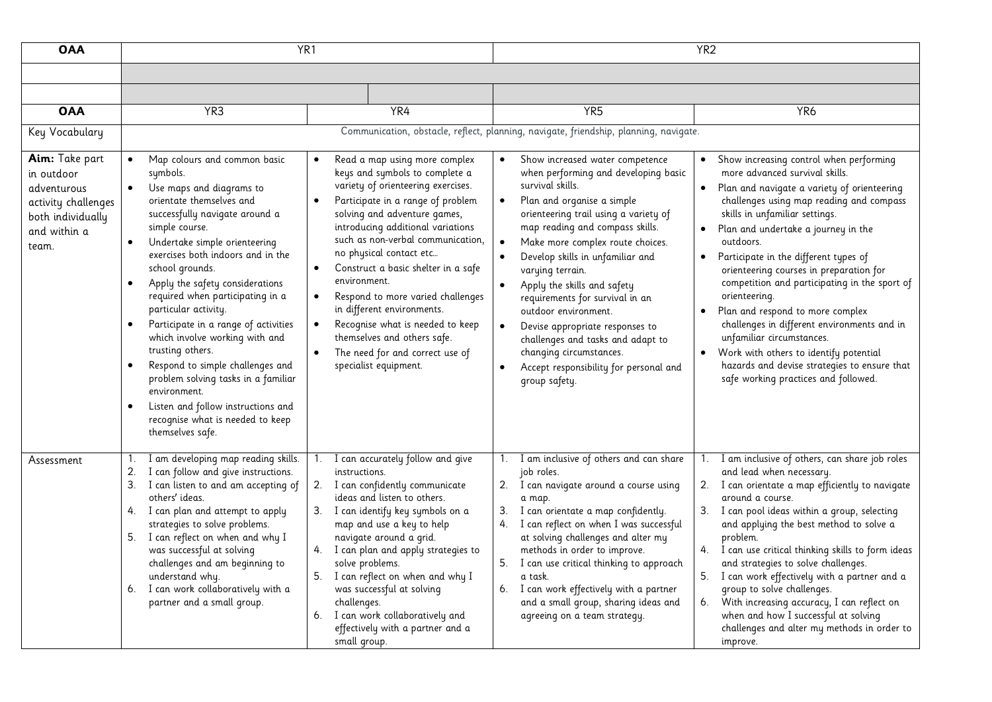| <b>OAA</b>                                                                                                       | YR <sub>1</sub>                                                                                                                                                                                                                                                                                                                                                                                                                                                                                                                                                                                                                                                                                                   |                                                                                                                                                                                                                                                                                                                                                                                                                                                                                                                                                                                                           |                                                                                                                                                                                                                                                                                                                                                                                                                                                                                                                                                                                                               | YR <sub>2</sub>                                                                                                                                                                                                                                                                                                                                                                                                                                                                                                                                                                                                                                                                              |
|------------------------------------------------------------------------------------------------------------------|-------------------------------------------------------------------------------------------------------------------------------------------------------------------------------------------------------------------------------------------------------------------------------------------------------------------------------------------------------------------------------------------------------------------------------------------------------------------------------------------------------------------------------------------------------------------------------------------------------------------------------------------------------------------------------------------------------------------|-----------------------------------------------------------------------------------------------------------------------------------------------------------------------------------------------------------------------------------------------------------------------------------------------------------------------------------------------------------------------------------------------------------------------------------------------------------------------------------------------------------------------------------------------------------------------------------------------------------|---------------------------------------------------------------------------------------------------------------------------------------------------------------------------------------------------------------------------------------------------------------------------------------------------------------------------------------------------------------------------------------------------------------------------------------------------------------------------------------------------------------------------------------------------------------------------------------------------------------|----------------------------------------------------------------------------------------------------------------------------------------------------------------------------------------------------------------------------------------------------------------------------------------------------------------------------------------------------------------------------------------------------------------------------------------------------------------------------------------------------------------------------------------------------------------------------------------------------------------------------------------------------------------------------------------------|
|                                                                                                                  |                                                                                                                                                                                                                                                                                                                                                                                                                                                                                                                                                                                                                                                                                                                   |                                                                                                                                                                                                                                                                                                                                                                                                                                                                                                                                                                                                           |                                                                                                                                                                                                                                                                                                                                                                                                                                                                                                                                                                                                               |                                                                                                                                                                                                                                                                                                                                                                                                                                                                                                                                                                                                                                                                                              |
|                                                                                                                  |                                                                                                                                                                                                                                                                                                                                                                                                                                                                                                                                                                                                                                                                                                                   |                                                                                                                                                                                                                                                                                                                                                                                                                                                                                                                                                                                                           |                                                                                                                                                                                                                                                                                                                                                                                                                                                                                                                                                                                                               |                                                                                                                                                                                                                                                                                                                                                                                                                                                                                                                                                                                                                                                                                              |
| <b>OAA</b>                                                                                                       | YR <sub>3</sub>                                                                                                                                                                                                                                                                                                                                                                                                                                                                                                                                                                                                                                                                                                   | YR4                                                                                                                                                                                                                                                                                                                                                                                                                                                                                                                                                                                                       | YR <sub>5</sub>                                                                                                                                                                                                                                                                                                                                                                                                                                                                                                                                                                                               | YR <sub>6</sub>                                                                                                                                                                                                                                                                                                                                                                                                                                                                                                                                                                                                                                                                              |
| Key Vocabulary                                                                                                   |                                                                                                                                                                                                                                                                                                                                                                                                                                                                                                                                                                                                                                                                                                                   |                                                                                                                                                                                                                                                                                                                                                                                                                                                                                                                                                                                                           | Communication, obstacle, reflect, planning, navigate, friendship, planning, navigate.                                                                                                                                                                                                                                                                                                                                                                                                                                                                                                                         |                                                                                                                                                                                                                                                                                                                                                                                                                                                                                                                                                                                                                                                                                              |
| Aim: Take part<br>in outdoor<br>adventurous<br>activity challenges<br>both individually<br>and within a<br>team. | Map colours and common basic<br>$\bullet$<br>symbols.<br>Use maps and diagrams to<br>$\bullet$<br>orientate themselves and<br>successfully navigate around a<br>simple course.<br>Undertake simple orienteering<br>$\bullet$<br>exercises both indoors and in the<br>school grounds.<br>Apply the safety considerations<br>$\bullet$<br>required when participating in a<br>particular activity.<br>Participate in a range of activities<br>$\bullet$<br>which involve working with and<br>trusting others.<br>Respond to simple challenges and<br>problem solving tasks in a familiar<br>environment.<br>Listen and follow instructions and<br>$\bullet$<br>recognise what is needed to keep<br>themselves safe. | Read a map using more complex<br>$\bullet$<br>keys and symbols to complete a<br>variety of orienteering exercises.<br>Participate in a range of problem<br>$\bullet$<br>solving and adventure games,<br>introducing additional variations<br>such as non-verbal communication,<br>no physical contact etc<br>Construct a basic shelter in a safe<br>$\bullet$<br>environment.<br>Respond to more varied challenges<br>$\bullet$<br>in different environments.<br>Recognise what is needed to keep<br>$\bullet$<br>themselves and others safe.<br>The need for and correct use of<br>specialist equipment. | Show increased water competence<br>when performing and developing basic<br>survival skills.<br>Plan and organise a simple<br>$\bullet$<br>orienteering trail using a variety of<br>map reading and compass skills.<br>Make more complex route choices.<br>$\bullet$<br>Develop skills in unfamiliar and<br>$\bullet$<br>varying terrain.<br>Apply the skills and safety<br>requirements for survival in an<br>outdoor environment.<br>Devise appropriate responses to<br>$\bullet$<br>challenges and tasks and adapt to<br>changing circumstances.<br>Accept responsibility for personal and<br>group safety. | Show increasing control when performing<br>more advanced survival skills.<br>Plan and navigate a variety of orienteering<br>challenges using map reading and compass<br>skills in unfamiliar settings.<br>Plan and undertake a journey in the<br>outdoors.<br>Participate in the different types of<br>$\bullet$<br>orienteering courses in preparation for<br>competition and participating in the sport of<br>orienteering.<br>Plan and respond to more complex<br>challenges in different environments and in<br>unfamiliar circumstances.<br>Work with others to identify potential<br>$\bullet$<br>hazards and devise strategies to ensure that<br>safe working practices and followed. |
| Assessment                                                                                                       | I am developing map reading skills.<br>1.<br>I can follow and give instructions.<br>2.<br>I can listen to and am accepting of<br>3.<br>others' ideas.<br>I can plan and attempt to apply<br>4.<br>strategies to solve problems.<br>I can reflect on when and why I<br>5.<br>was successful at solving<br>challenges and am beginning to<br>understand why.<br>I can work collaboratively with a<br>6.<br>partner and a small group.                                                                                                                                                                                                                                                                               | I can accurately follow and give<br>1.<br>instructions.<br>2. I can confidently communicate<br>ideas and listen to others.<br>3. I can identify key symbols on a<br>map and use a key to help<br>navigate around a grid.<br>4. I can plan and apply strategies to<br>solve problems.<br>5. I can reflect on when and why I<br>was successful at solving<br>challenges.<br>6. I can work collaboratively and<br>effectively with a partner and a<br>small group.                                                                                                                                           | I am inclusive of others and can share<br>1.<br>job roles.<br>2. I can navigate around a course using<br>a map.<br>I can orientate a map confidently.<br>3.<br>4. I can reflect on when I was successful<br>at solving challenges and alter my<br>methods in order to improve.<br>5. I can use critical thinking to approach<br>a task.<br>6. I can work effectively with a partner<br>and a small group, sharing ideas and<br>agreeing on a team strategy.                                                                                                                                                   | I am inclusive of others, can share job roles<br>1.<br>and lead when necessary.<br>2. I can orientate a map efficiently to navigate<br>around a course.<br>I can pool ideas within a group, selecting<br>3.<br>and applying the best method to solve a<br>problem.<br>4. I can use critical thinking skills to form ideas<br>and strategies to solve challenges.<br>5.<br>I can work effectively with a partner and a<br>group to solve challenges.<br>With increasing accuracy, I can reflect on<br>6.<br>when and how I successful at solving<br>challenges and alter my methods in order to<br>improve.                                                                                   |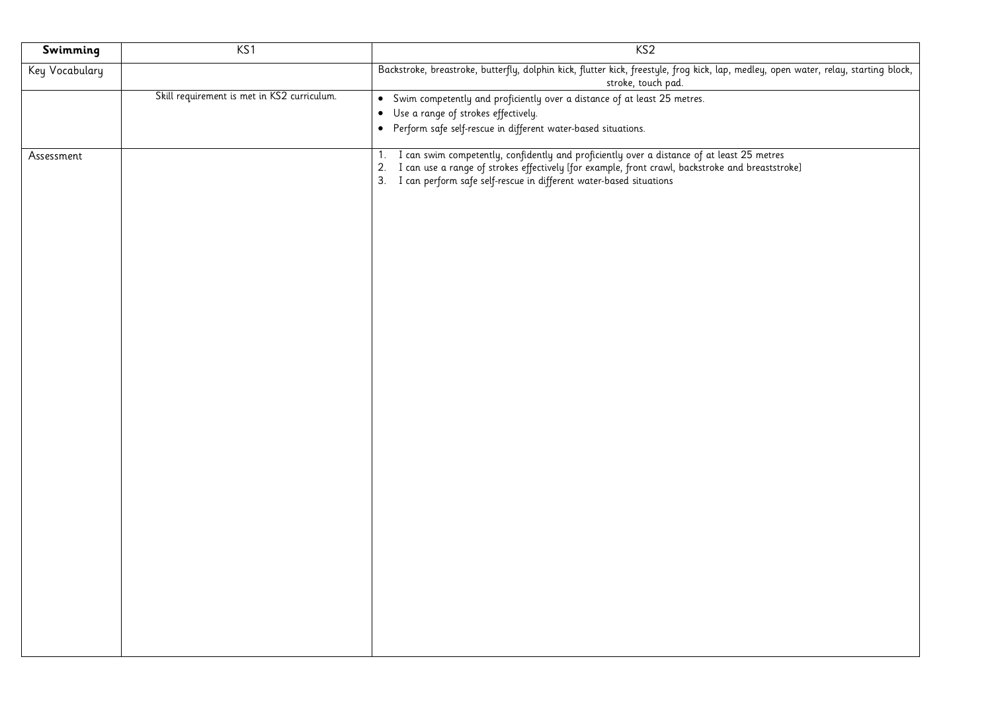| Swimming       | KS1                                         | KS <sub>2</sub>                                                                                                                                                                                                     |
|----------------|---------------------------------------------|---------------------------------------------------------------------------------------------------------------------------------------------------------------------------------------------------------------------|
| Key Vocabulary |                                             | Backstroke, breastroke, butterfly, dolphin kick, flutter kick, freestyle, frog kick, lap, medley, open water, relay, starting block,<br>stroke, touch pad.                                                          |
|                | Skill requirement is met in KS2 curriculum. | • Swim competently and proficiently over a distance of at least 25 metres.                                                                                                                                          |
|                |                                             | • Use a range of strokes effectively.                                                                                                                                                                               |
|                |                                             | • Perform safe self-rescue in different water-based situations.                                                                                                                                                     |
| Assessment     |                                             | I can swim competently, confidently and proficiently over a distance of at least 25 metres<br>$\mathbf{1}$ .<br>2. I can use a range of strokes effectively [for example, front crawl, backstroke and breaststroke] |
|                |                                             | 3. I can perform safe self-rescue in different water-based situations                                                                                                                                               |
|                |                                             |                                                                                                                                                                                                                     |
|                |                                             |                                                                                                                                                                                                                     |
|                |                                             |                                                                                                                                                                                                                     |
|                |                                             |                                                                                                                                                                                                                     |
|                |                                             |                                                                                                                                                                                                                     |
|                |                                             |                                                                                                                                                                                                                     |
|                |                                             |                                                                                                                                                                                                                     |
|                |                                             |                                                                                                                                                                                                                     |
|                |                                             |                                                                                                                                                                                                                     |
|                |                                             |                                                                                                                                                                                                                     |
|                |                                             |                                                                                                                                                                                                                     |
|                |                                             |                                                                                                                                                                                                                     |
|                |                                             |                                                                                                                                                                                                                     |
|                |                                             |                                                                                                                                                                                                                     |
|                |                                             |                                                                                                                                                                                                                     |
|                |                                             |                                                                                                                                                                                                                     |
|                |                                             |                                                                                                                                                                                                                     |
|                |                                             |                                                                                                                                                                                                                     |
|                |                                             |                                                                                                                                                                                                                     |
|                |                                             |                                                                                                                                                                                                                     |
|                |                                             |                                                                                                                                                                                                                     |
|                |                                             |                                                                                                                                                                                                                     |
|                |                                             |                                                                                                                                                                                                                     |
|                |                                             |                                                                                                                                                                                                                     |
|                |                                             |                                                                                                                                                                                                                     |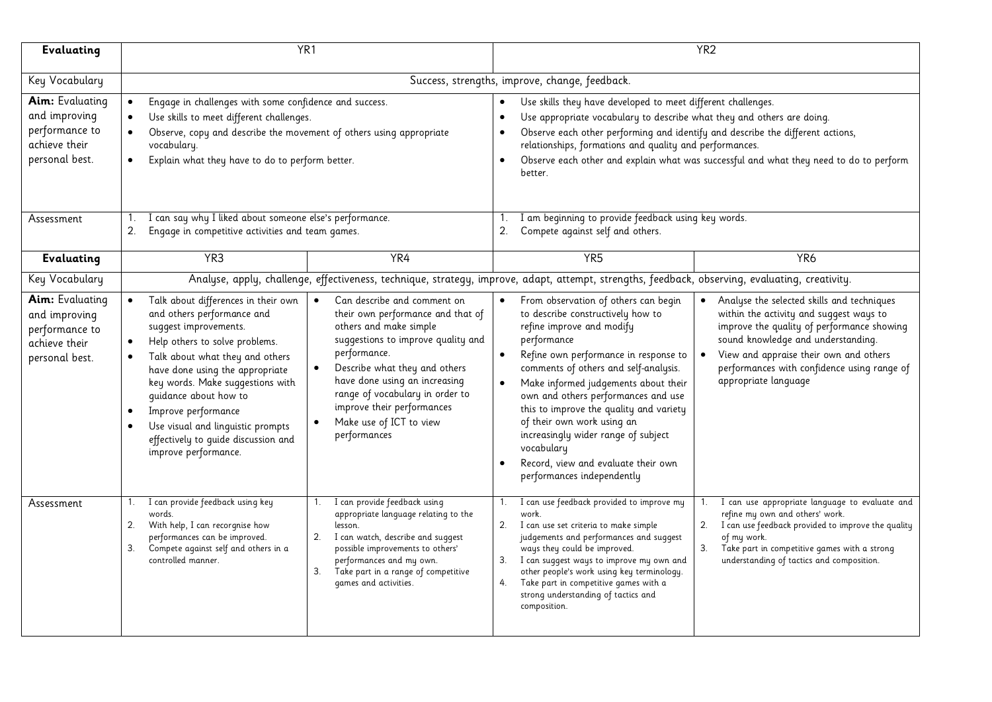| Evaluating                                                                                   | YR <sub>1</sub>                                                                                                                                                                                                                                                                                                                                                                                                                                                                                                                                                                                                                                                                                                                                        | YR <sub>2</sub>                                                                                                                                                                                                                                                                                                                                                                                                                                                                                                                                                                                                                                                                                                                                                                                                   |  |
|----------------------------------------------------------------------------------------------|--------------------------------------------------------------------------------------------------------------------------------------------------------------------------------------------------------------------------------------------------------------------------------------------------------------------------------------------------------------------------------------------------------------------------------------------------------------------------------------------------------------------------------------------------------------------------------------------------------------------------------------------------------------------------------------------------------------------------------------------------------|-------------------------------------------------------------------------------------------------------------------------------------------------------------------------------------------------------------------------------------------------------------------------------------------------------------------------------------------------------------------------------------------------------------------------------------------------------------------------------------------------------------------------------------------------------------------------------------------------------------------------------------------------------------------------------------------------------------------------------------------------------------------------------------------------------------------|--|
| Key Vocabulary                                                                               | Success, strengths, improve, change, feedback.                                                                                                                                                                                                                                                                                                                                                                                                                                                                                                                                                                                                                                                                                                         |                                                                                                                                                                                                                                                                                                                                                                                                                                                                                                                                                                                                                                                                                                                                                                                                                   |  |
| Aim: Evaluating<br>and improving<br>performance to<br>achieve their<br>personal best.        | Engage in challenges with some confidence and success.<br>$\bullet$<br>Use skills to meet different challenges.<br>Observe, copy and describe the movement of others using appropriate<br>vocabulary.<br>Explain what they have to do to perform better.                                                                                                                                                                                                                                                                                                                                                                                                                                                                                               | Use skills they have developed to meet different challenges.<br>$\bullet$<br>Use appropriate vocabulary to describe what they and others are doing.<br>Observe each other performing and identify and describe the different actions,<br>relationships, formations and quality and performances.<br>Observe each other and explain what was successful and what they need to do to perform<br>$\bullet$<br>better.                                                                                                                                                                                                                                                                                                                                                                                                |  |
| Assessment                                                                                   | I can say why I liked about someone else's performance.<br>2.<br>Engage in competitive activities and team games.                                                                                                                                                                                                                                                                                                                                                                                                                                                                                                                                                                                                                                      | 1. I am beginning to provide feedback using key words.<br>Compete against self and others.<br>2.                                                                                                                                                                                                                                                                                                                                                                                                                                                                                                                                                                                                                                                                                                                  |  |
| Evaluating                                                                                   | YR4<br>YR <sub>3</sub>                                                                                                                                                                                                                                                                                                                                                                                                                                                                                                                                                                                                                                                                                                                                 | YR <sub>5</sub><br>YR <sub>6</sub>                                                                                                                                                                                                                                                                                                                                                                                                                                                                                                                                                                                                                                                                                                                                                                                |  |
| Key Vocabulary                                                                               |                                                                                                                                                                                                                                                                                                                                                                                                                                                                                                                                                                                                                                                                                                                                                        | Analyse, apply, challenge, effectiveness, technique, strategy, improve, adapt, attempt, strengths, feedback, observing, evaluating, creativity.                                                                                                                                                                                                                                                                                                                                                                                                                                                                                                                                                                                                                                                                   |  |
| <b>Aim:</b> Evaluating<br>and improving<br>performance to<br>achieve their<br>personal best. | Talk about differences in their own<br>Can describe and comment on<br>$\bullet$<br>and others performance and<br>their own performance and that of<br>others and make simple<br>suggest improvements.<br>suggestions to improve quality and<br>Help others to solve problems.<br>performance.<br>Talk about what they and others<br>Describe what they and others<br>$\bullet$<br>have done using the appropriate<br>have done using an increasing<br>key words. Make suggestions with<br>range of vocabulary in order to<br>quidance about how to<br>improve their performances<br>Improve performance<br>Make use of ICT to view<br>Use visual and linguistic prompts<br>performances<br>effectively to quide discussion and<br>improve performance. | From observation of others can begin<br>Analyse the selected skills and techniques<br>to describe constructively how to<br>within the activity and suggest ways to<br>improve the quality of performance showing<br>refine improve and modify<br>sound knowledge and understanding.<br>performance<br>View and appraise their own and others<br>Refine own performance in response to<br>$\bullet$<br>performances with confidence using range of<br>comments of others and self-analysis.<br>appropriate language<br>Make informed judgements about their<br>$\bullet$<br>own and others performances and use<br>this to improve the quality and variety<br>of their own work using an<br>increasingly wider range of subject<br>vocabulary<br>Record, view and evaluate their own<br>performances independently |  |
| Assessment                                                                                   | I can provide feedback using key<br>I can provide feedback using<br>appropriate language relating to the<br>words.<br>With help, I can recorgnise how<br>2.<br>lesson.<br>performances can be improved.<br>2. I can watch, describe and suggest<br>Compete against self and others in a<br>possible improvements to others'<br>3.<br>controlled manner.<br>performances and my own.<br>3.<br>Take part in a range of competitive<br>games and activities.                                                                                                                                                                                                                                                                                              | I can use feedback provided to improve my<br>I can use appropriate language to evaluate and<br>1.<br>refine my own and others' work.<br>work.<br>I can use feedback provided to improve the quality<br>2.<br>I can use set criteria to make simple<br>2.<br>judgements and performances and suggest<br>of my work.<br>3.<br>Take part in competitive games with a strong<br>ways they could be improved.<br>I can suggest ways to improve my own and<br>understanding of tactics and composition.<br>3.<br>other people's work using key terminology.<br>Take part in competitive games with a<br>4.<br>strong understanding of tactics and<br>composition.                                                                                                                                                       |  |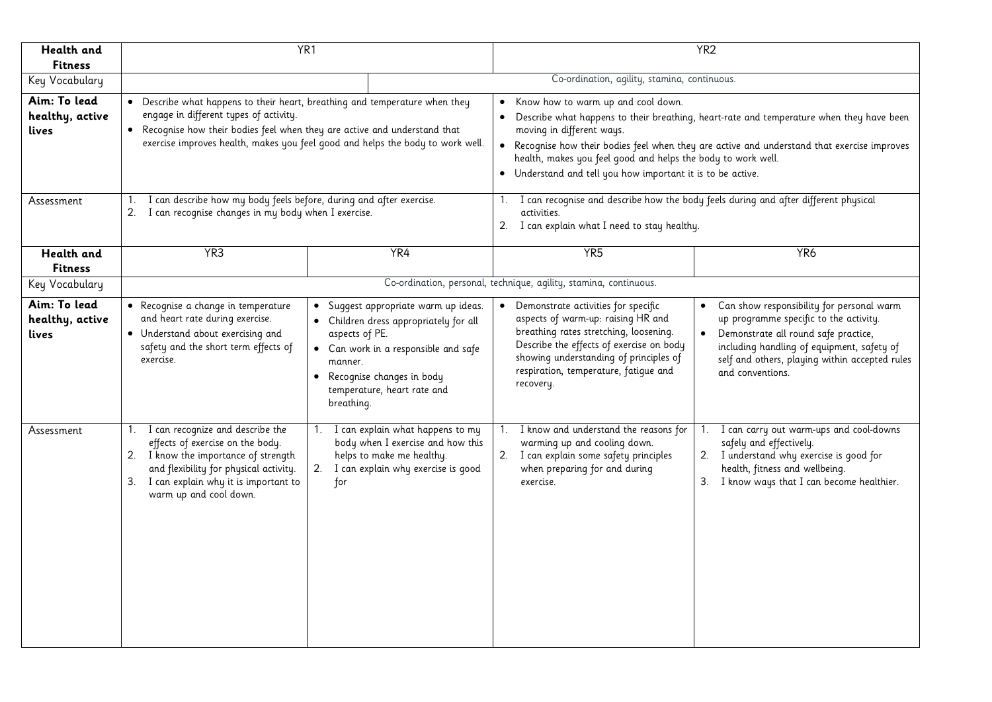| Health and<br><b>Fitness</b>             | YR <sub>1</sub>                                                                                                                                                                                                                                                                       |                                                                                                                                                                    | YR <sub>2</sub>                                                                                                                                                                                                                                                                                                                                                                              |                                                                                                                                                                                                                                                                |
|------------------------------------------|---------------------------------------------------------------------------------------------------------------------------------------------------------------------------------------------------------------------------------------------------------------------------------------|--------------------------------------------------------------------------------------------------------------------------------------------------------------------|----------------------------------------------------------------------------------------------------------------------------------------------------------------------------------------------------------------------------------------------------------------------------------------------------------------------------------------------------------------------------------------------|----------------------------------------------------------------------------------------------------------------------------------------------------------------------------------------------------------------------------------------------------------------|
| Key Vocabulary                           |                                                                                                                                                                                                                                                                                       |                                                                                                                                                                    | Co-ordination, agility, stamina, continuous.                                                                                                                                                                                                                                                                                                                                                 |                                                                                                                                                                                                                                                                |
| Aim: To lead<br>healthy, active<br>lives | • Describe what happens to their heart, breathing and temperature when they<br>engage in different types of activity.<br>. Recognise how their bodies feel when they are active and understand that<br>exercise improves health, makes you feel good and helps the body to work well. |                                                                                                                                                                    | Know how to warm up and cool down.<br>• Describe what happens to their breathing, heart-rate and temperature when they have been<br>moving in different ways.<br>• Recognise how their bodies feel when they are active and understand that exercise improves<br>health, makes you feel good and helps the body to work well.<br>• Understand and tell you how important it is to be active. |                                                                                                                                                                                                                                                                |
| Assessment                               | I can describe how my body feels before, during and after exercise.<br>1.<br>I can recognise changes in my body when I exercise.<br>2.                                                                                                                                                | activities.                                                                                                                                                        | I can recognise and describe how the body feels during and after different physical<br>2. I can explain what I need to stay healthy.                                                                                                                                                                                                                                                         |                                                                                                                                                                                                                                                                |
| <b>Health</b> and<br><b>Fitness</b>      | YR <sub>3</sub>                                                                                                                                                                                                                                                                       | YR4                                                                                                                                                                | YR <sub>5</sub>                                                                                                                                                                                                                                                                                                                                                                              | YR <sub>6</sub>                                                                                                                                                                                                                                                |
| Key Vocabulary                           | Co-ordination, personal, technique, agility, stamina, continuous.                                                                                                                                                                                                                     |                                                                                                                                                                    |                                                                                                                                                                                                                                                                                                                                                                                              |                                                                                                                                                                                                                                                                |
| Aim: To lead<br>healthy, active<br>lives | • Recognise a change in temperature<br>and heart rate during exercise.<br>• Understand about exercising and<br>aspects of PE.<br>safety and the short term effects of<br>exercise.<br>manner.<br>• Recognise changes in body<br>breathing.                                            | · Suggest appropriate warm up ideas.<br>• Children dress appropriately for all<br>• Can work in a responsible and safe<br>recovery.<br>temperature, heart rate and | • Demonstrate activities for specific<br>aspects of warm-up: raising HR and<br>breathing rates stretching, loosening.<br>Describe the effects of exercise on body<br>showing understanding of principles of<br>respiration, temperature, fatique and                                                                                                                                         | Can show responsibility for personal warm<br>$\bullet$<br>up programme specific to the activity.<br>• Demonstrate all round safe practice,<br>including handling of equipment, safety of<br>self and others, playing within accepted rules<br>and conventions. |
| Assessment                               | I can recognize and describe the<br>1.<br>1.<br>effects of exercise on the body.<br>2. I know the importance of strength<br>and flexibility for physical activity.<br>3. I can explain why it is important to<br>for<br>warm up and cool down.                                        | I can explain what happens to my<br>body when I exercise and how this<br>helps to make me healthy.<br>2. I can explain why exercise is good<br>exercise.           | I know and understand the reasons for<br>warming up and cooling down.<br>2. I can explain some safety principles<br>when preparing for and during                                                                                                                                                                                                                                            | I can carry out warm-ups and cool-downs<br>safely and effectively.<br>2. I understand why exercise is good for<br>health, fitness and wellbeing.<br>3. I know ways that I can become healthier.                                                                |